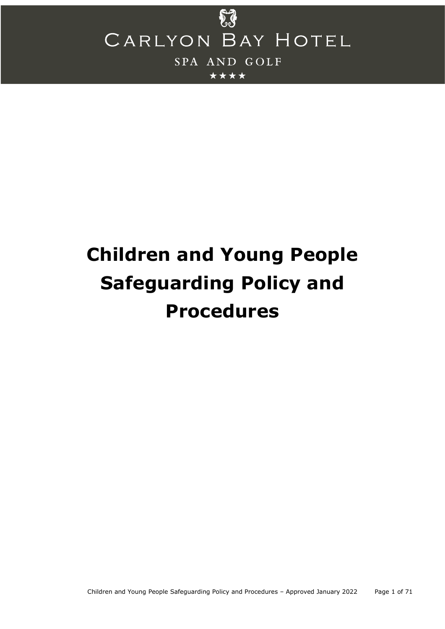

# **Children and Young People Safeguarding Policy and Procedures**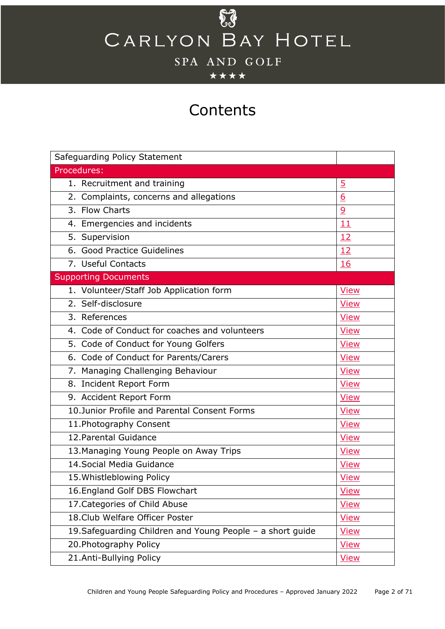\*\*\*\*

## **Contents**

| Safeguarding Policy Statement                                             |                |  |
|---------------------------------------------------------------------------|----------------|--|
| Procedures:                                                               |                |  |
| 1. Recruitment and training                                               | <u>5</u>       |  |
| 2. Complaints, concerns and allegations                                   | 6              |  |
| 3. Flow Charts                                                            | $\overline{9}$ |  |
| 4. Emergencies and incidents                                              | 11             |  |
| 5. Supervision                                                            | 12             |  |
| 6. Good Practice Guidelines                                               | 12             |  |
| 7. Useful Contacts                                                        | 16             |  |
| <b>Supporting Documents</b>                                               |                |  |
| 1. Volunteer/Staff Job Application form                                   | <b>View</b>    |  |
| 2. Self-disclosure                                                        | <b>View</b>    |  |
| 3. References                                                             | <b>View</b>    |  |
| 4. Code of Conduct for coaches and volunteers                             | <b>View</b>    |  |
| 5. Code of Conduct for Young Golfers                                      | <b>View</b>    |  |
| 6. Code of Conduct for Parents/Carers                                     | <b>View</b>    |  |
| 7. Managing Challenging Behaviour                                         | <b>View</b>    |  |
| 8. Incident Report Form                                                   | <b>View</b>    |  |
| 9. Accident Report Form                                                   | <b>View</b>    |  |
| 10. Junior Profile and Parental Consent Forms                             | <b>View</b>    |  |
| 11. Photography Consent                                                   | <b>View</b>    |  |
| 12. Parental Guidance                                                     | <b>View</b>    |  |
| 13. Managing Young People on Away Trips                                   | <b>View</b>    |  |
| 14. Social Media Guidance                                                 | <b>View</b>    |  |
| 15. Whistleblowing Policy                                                 | <b>View</b>    |  |
| 16. England Golf DBS Flowchart                                            | <b>View</b>    |  |
| 17. Categories of Child Abuse                                             | <b>View</b>    |  |
| 18. Club Welfare Officer Poster                                           | <b>View</b>    |  |
| 19. Safeguarding Children and Young People - a short guide<br><b>View</b> |                |  |
| 20. Photography Policy                                                    | <b>View</b>    |  |
| 21.Anti-Bullying Policy                                                   | <b>View</b>    |  |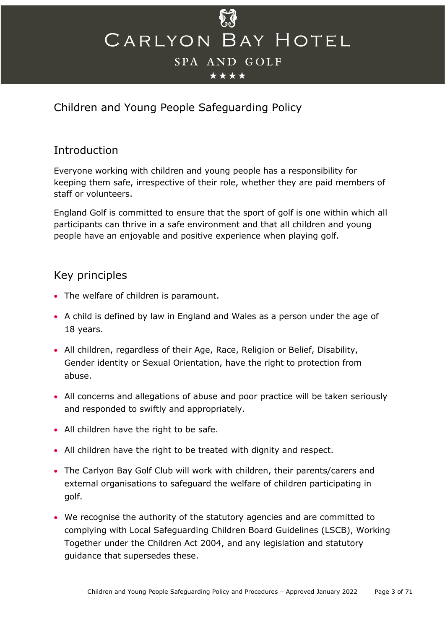

## Children and Young People Safeguarding Policy

## **Introduction**

Everyone working with children and young people has a responsibility for keeping them safe, irrespective of their role, whether they are paid members of staff or volunteers.

England Golf is committed to ensure that the sport of golf is one within which all participants can thrive in a safe environment and that all children and young people have an enjoyable and positive experience when playing golf.

## Key principles

- The welfare of children is paramount.
- A child is defined by law in England and Wales as a person under the age of 18 years.
- All children, regardless of their Age, Race, Religion or Belief, Disability, Gender identity or Sexual Orientation, have the right to protection from abuse.
- All concerns and allegations of abuse and poor practice will be taken seriously and responded to swiftly and appropriately.
- All children have the right to be safe.
- All children have the right to be treated with dignity and respect.
- The Carlyon Bay Golf Club will work with children, their parents/carers and external organisations to safeguard the welfare of children participating in golf.
- We recognise the authority of the statutory agencies and are committed to complying with Local Safeguarding Children Board Guidelines (LSCB), Working Together under the Children Act 2004, and any legislation and statutory guidance that supersedes these.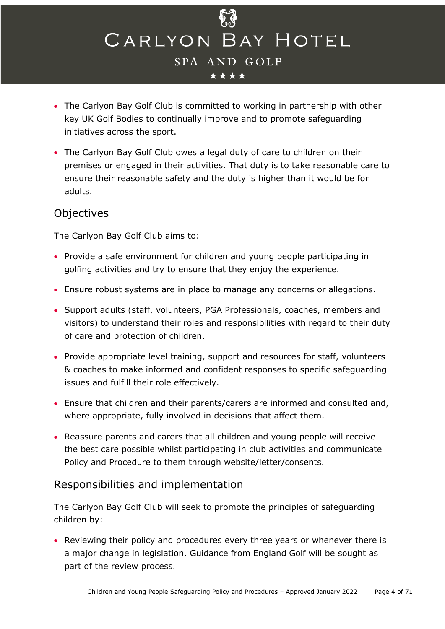

- The Carlyon Bay Golf Club is committed to working in partnership with other key UK Golf Bodies to continually improve and to promote safeguarding initiatives across the sport.
- The Carlyon Bay Golf Club owes a legal duty of care to children on their premises or engaged in their activities. That duty is to take reasonable care to ensure their reasonable safety and the duty is higher than it would be for adults.

## Objectives

The Carlyon Bay Golf Club aims to:

- Provide a safe environment for children and young people participating in golfing activities and try to ensure that they enjoy the experience.
- Ensure robust systems are in place to manage any concerns or allegations.
- Support adults (staff, volunteers, PGA Professionals, coaches, members and visitors) to understand their roles and responsibilities with regard to their duty of care and protection of children.
- Provide appropriate level training, support and resources for staff, volunteers & coaches to make informed and confident responses to specific safeguarding issues and fulfill their role effectively.
- Ensure that children and their parents/carers are informed and consulted and, where appropriate, fully involved in decisions that affect them.
- Reassure parents and carers that all children and young people will receive the best care possible whilst participating in club activities and communicate Policy and Procedure to them through website/letter/consents.

## Responsibilities and implementation

The Carlyon Bay Golf Club will seek to promote the principles of safeguarding children by:

• Reviewing their policy and procedures every three years or whenever there is a major change in legislation. Guidance from England Golf will be sought as part of the review process.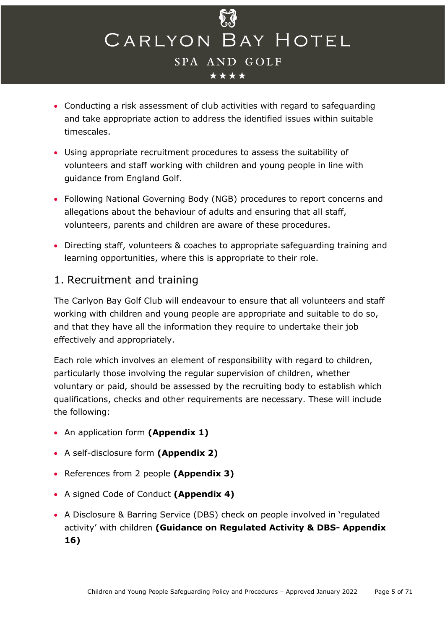

- Conducting a risk assessment of club activities with regard to safeguarding and take appropriate action to address the identified issues within suitable timescales.
- Using appropriate recruitment procedures to assess the suitability of volunteers and staff working with children and young people in line with guidance from England Golf.
- Following National Governing Body (NGB) procedures to report concerns and allegations about the behaviour of adults and ensuring that all staff, volunteers, parents and children are aware of these procedures.
- Directing staff, volunteers & coaches to appropriate safeguarding training and learning opportunities, where this is appropriate to their role.

## <span id="page-4-0"></span>1. Recruitment and training

The Carlyon Bay Golf Club will endeavour to ensure that all volunteers and staff working with children and young people are appropriate and suitable to do so, and that they have all the information they require to undertake their job effectively and appropriately.

Each role which involves an element of responsibility with regard to children, particularly those involving the regular supervision of children, whether voluntary or paid, should be assessed by the recruiting body to establish which qualifications, checks and other requirements are necessary. These will include the following:

- An application form **(Appendix 1)**
- A self-disclosure form **(Appendix 2)**
- References from 2 people **(Appendix 3)**
- A signed Code of Conduct **(Appendix 4)**
- A Disclosure & Barring Service (DBS) check on people involved in 'regulated activity' with children **(Guidance on Regulated Activity & DBS- Appendix 16)**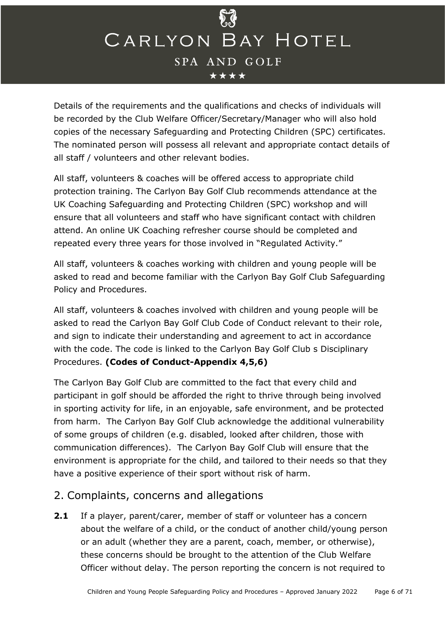

Details of the requirements and the qualifications and checks of individuals will be recorded by the Club Welfare Officer/Secretary/Manager who will also hold copies of the necessary Safeguarding and Protecting Children (SPC) certificates. The nominated person will possess all relevant and appropriate contact details of all staff / volunteers and other relevant bodies.

All staff, volunteers & coaches will be offered access to appropriate child protection training. The Carlyon Bay Golf Club recommends attendance at the UK Coaching Safeguarding and Protecting Children (SPC) workshop and will ensure that all volunteers and staff who have significant contact with children attend. An online UK Coaching refresher course should be completed and repeated every three years for those involved in "Regulated Activity."

All staff, volunteers & coaches working with children and young people will be asked to read and become familiar with the Carlyon Bay Golf Club Safeguarding Policy and Procedures.

All staff, volunteers & coaches involved with children and young people will be asked to read the Carlyon Bay Golf Club Code of Conduct relevant to their role, and sign to indicate their understanding and agreement to act in accordance with the code. The code is linked to the Carlyon Bay Golf Club s Disciplinary Procedures. **(Codes of Conduct-Appendix 4,5,6)**

The Carlyon Bay Golf Club are committed to the fact that every child and participant in golf should be afforded the right to thrive through being involved in sporting activity for life, in an enjoyable, safe environment, and be protected from harm. The Carlyon Bay Golf Club acknowledge the additional vulnerability of some groups of children (e.g. disabled, looked after children, those with communication differences). The Carlyon Bay Golf Club will ensure that the environment is appropriate for the child, and tailored to their needs so that they have a positive experience of their sport without risk of harm.

## <span id="page-5-0"></span>2. Complaints, concerns and allegations

**2.1** If a player, parent/carer, member of staff or volunteer has a concern about the welfare of a child, or the conduct of another child/young person or an adult (whether they are a parent, coach, member, or otherwise), these concerns should be brought to the attention of the Club Welfare Officer without delay. The person reporting the concern is not required to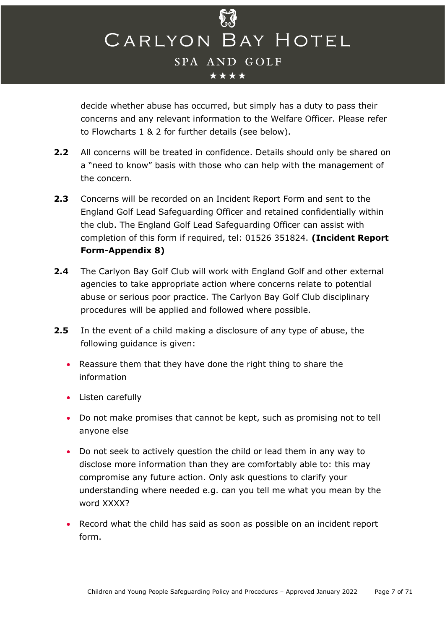

decide whether abuse has occurred, but simply has a duty to pass their concerns and any relevant information to the Welfare Officer. Please refer to Flowcharts 1 & 2 for further details (see below).

- **2.2** All concerns will be treated in confidence. Details should only be shared on a "need to know" basis with those who can help with the management of the concern.
- **2.3** Concerns will be recorded on an Incident Report Form and sent to the England Golf Lead Safeguarding Officer and retained confidentially within the club. The England Golf Lead Safeguarding Officer can assist with completion of this form if required, tel: 01526 351824. **(Incident Report Form-Appendix 8)**
- **2.4** The Carlyon Bay Golf Club will work with England Golf and other external agencies to take appropriate action where concerns relate to potential abuse or serious poor practice. The Carlyon Bay Golf Club disciplinary procedures will be applied and followed where possible.
- **2.5** In the event of a child making a disclosure of any type of abuse, the following guidance is given:
	- Reassure them that they have done the right thing to share the information
	- Listen carefully
	- Do not make promises that cannot be kept, such as promising not to tell anyone else
	- Do not seek to actively question the child or lead them in any way to disclose more information than they are comfortably able to: this may compromise any future action. Only ask questions to clarify your understanding where needed e.g. can you tell me what you mean by the word XXXX?
	- Record what the child has said as soon as possible on an incident report form.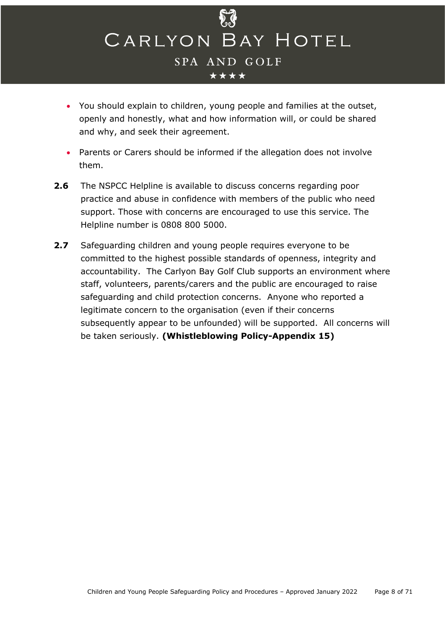

- You should explain to children, young people and families at the outset, openly and honestly, what and how information will, or could be shared and why, and seek their agreement.
- Parents or Carers should be informed if the allegation does not involve them.
- **2.6** The NSPCC Helpline is available to discuss concerns regarding poor practice and abuse in confidence with members of the public who need support. Those with concerns are encouraged to use this service. The Helpline number is 0808 800 5000.
- **2.7** Safeguarding children and young people requires everyone to be committed to the highest possible standards of openness, integrity and accountability. The Carlyon Bay Golf Club supports an environment where staff, volunteers, parents/carers and the public are encouraged to raise safeguarding and child protection concerns. Anyone who reported a legitimate concern to the organisation (even if their concerns subsequently appear to be unfounded) will be supported. All concerns will be taken seriously. **(Whistleblowing Policy-Appendix 15)**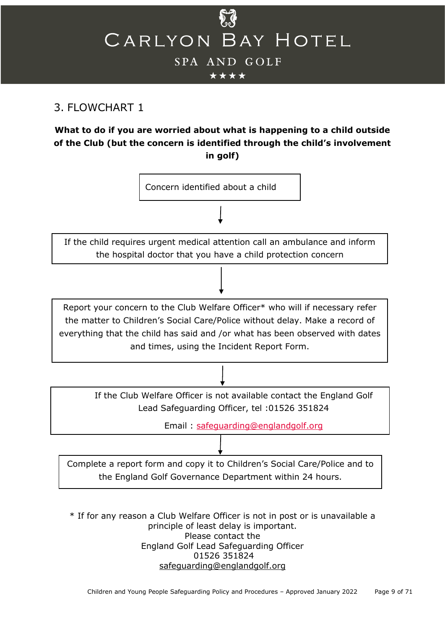

## <span id="page-8-0"></span>3. FLOWCHART 1

## **What to do if you are worried about what is happening to a child outside of the Club (but the concern is identified through the child's involvement in golf)**



\* If for any reason a Club Welfare Officer is not in post or is unavailable a principle of least delay is important. Please contact the England Golf Lead Safeguarding Officer 01526 351824 [safeguarding@englandgolf.org](mailto:safeguarding@englandgolf.org)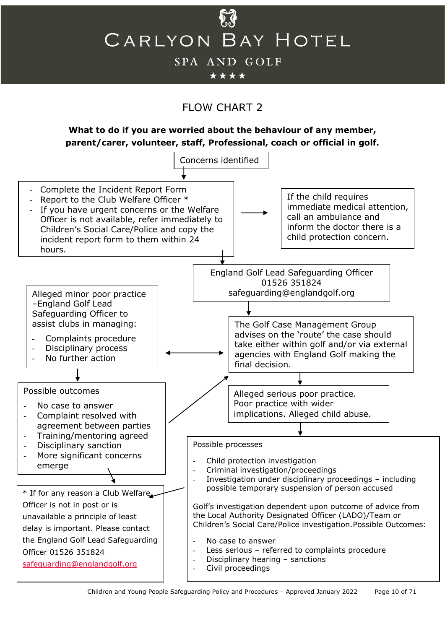

\*\*\*\*

## FLOW CHART 2

**What to do if you are worried about the behaviour of any member, parent/carer, volunteer, staff, Professional, coach or official in golf.**

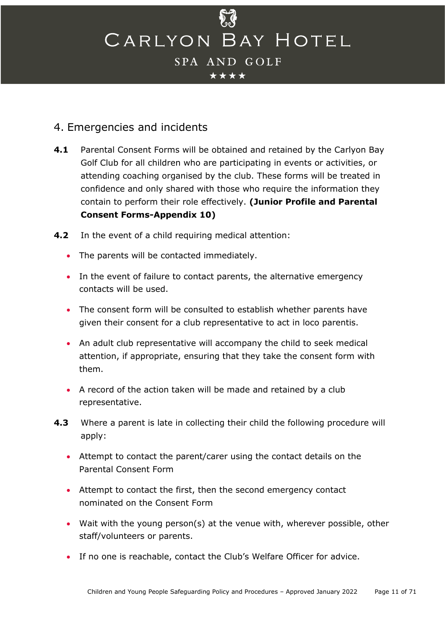## <span id="page-10-0"></span>4. Emergencies and incidents

- **4.1** Parental Consent Forms will be obtained and retained by the Carlyon Bay Golf Club for all children who are participating in events or activities, or attending coaching organised by the club. These forms will be treated in confidence and only shared with those who require the information they contain to perform their role effectively. **(Junior Profile and Parental Consent Forms-Appendix 10)**
- **4.2** In the event of a child requiring medical attention:
	- The parents will be contacted immediately.
	- In the event of failure to contact parents, the alternative emergency contacts will be used.
	- The consent form will be consulted to establish whether parents have given their consent for a club representative to act in loco parentis.
	- An adult club representative will accompany the child to seek medical attention, if appropriate, ensuring that they take the consent form with them.
	- A record of the action taken will be made and retained by a club representative.
- **4.3** Where a parent is late in collecting their child the following procedure will apply:
	- Attempt to contact the parent/carer using the contact details on the Parental Consent Form
	- Attempt to contact the first, then the second emergency contact nominated on the Consent Form
	- Wait with the young person(s) at the venue with, wherever possible, other staff/volunteers or parents.
	- If no one is reachable, contact the Club's Welfare Officer for advice.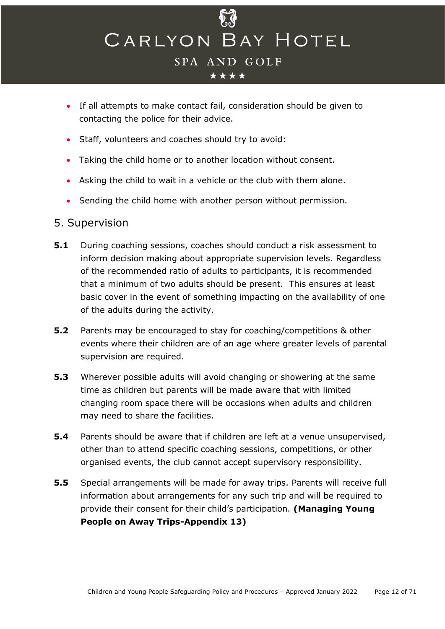

- If all attempts to make contact fail, consideration should be given to contacting the police for their advice.
- Staff, volunteers and coaches should try to avoid:
- Taking the child home or to another location without consent.
- Asking the child to wait in a vehicle or the club with them alone.
- Sending the child home with another person without permission.

## <span id="page-11-0"></span>5. Supervision

- **5.1** During coaching sessions, coaches should conduct a risk assessment to inform decision making about appropriate supervision levels. Regardless of the recommended ratio of adults to participants, it is recommended that a minimum of two adults should be present. This ensures at least basic cover in the event of something impacting on the availability of one of the adults during the activity.
- **5.2** Parents may be encouraged to stay for coaching/competitions & other events where their children are of an age where greater levels of parental supervision are required.
- **5.3** Wherever possible adults will avoid changing or showering at the same time as children but parents will be made aware that with limited changing room space there will be occasions when adults and children may need to share the facilities.
- **5.4** Parents should be aware that if children are left at a venue unsupervised, other than to attend specific coaching sessions, competitions, or other organised events, the club cannot accept supervisory responsibility.
- **5.5** Special arrangements will be made for away trips. Parents will receive full information about arrangements for any such trip and will be required to provide their consent for their child's participation. **(Managing Young People on Away Trips-Appendix 13)**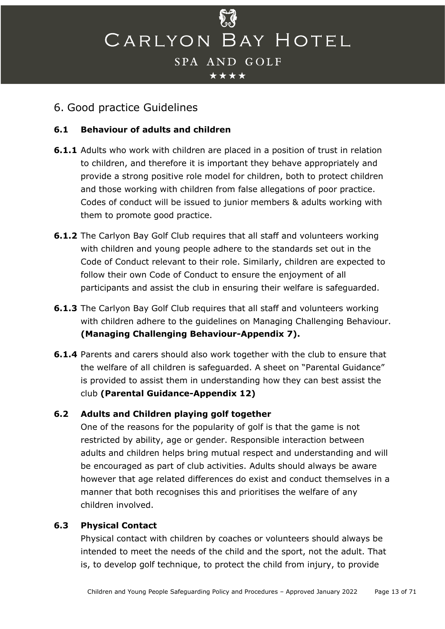

## <span id="page-12-0"></span>6. Good practice Guidelines

### **6.1 Behaviour of adults and children**

- **6.1.1** Adults who work with children are placed in a position of trust in relation to children, and therefore it is important they behave appropriately and provide a strong positive role model for children, both to protect children and those working with children from false allegations of poor practice. Codes of conduct will be issued to junior members & adults working with them to promote good practice.
- **6.1.2** The Carlyon Bay Golf Club requires that all staff and volunteers working with children and young people adhere to the standards set out in the Code of Conduct relevant to their role. Similarly, children are expected to follow their own Code of Conduct to ensure the enjoyment of all participants and assist the club in ensuring their welfare is safeguarded.
- **6.1.3** The Carlyon Bay Golf Club requires that all staff and volunteers working with children adhere to the guidelines on Managing Challenging Behaviour. **(Managing Challenging Behaviour-Appendix 7).**
- **6.1.4** Parents and carers should also work together with the club to ensure that the welfare of all children is safeguarded. A sheet on "Parental Guidance" is provided to assist them in understanding how they can best assist the club **(Parental Guidance-Appendix 12)**

## **6.2 Adults and Children playing golf together**

One of the reasons for the popularity of golf is that the game is not restricted by ability, age or gender. Responsible interaction between adults and children helps bring mutual respect and understanding and will be encouraged as part of club activities. Adults should always be aware however that age related differences do exist and conduct themselves in a manner that both recognises this and prioritises the welfare of any children involved.

#### **6.3 Physical Contact**

Physical contact with children by coaches or volunteers should always be intended to meet the needs of the child and the sport, not the adult. That is, to develop golf technique, to protect the child from injury, to provide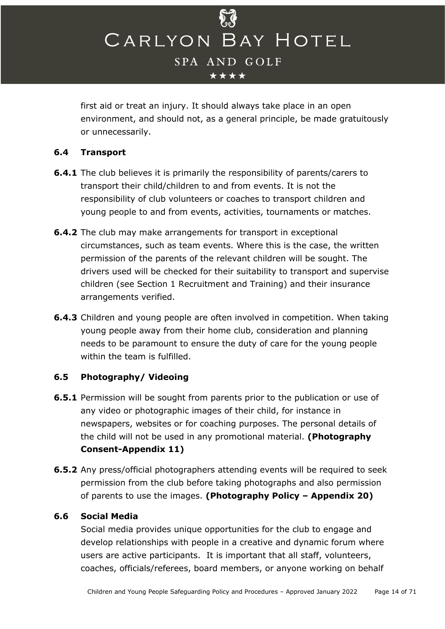

first aid or treat an injury. It should always take place in an open environment, and should not, as a general principle, be made gratuitously or unnecessarily.

## **6.4 Transport**

- **6.4.1** The club believes it is primarily the responsibility of parents/carers to transport their child/children to and from events. It is not the responsibility of club volunteers or coaches to transport children and young people to and from events, activities, tournaments or matches.
- **6.4.2** The club may make arrangements for transport in exceptional circumstances, such as team events. Where this is the case, the written permission of the parents of the relevant children will be sought. The drivers used will be checked for their suitability to transport and supervise children (see Section 1 Recruitment and Training) and their insurance arrangements verified.
- **6.4.3** Children and young people are often involved in competition. When taking young people away from their home club, consideration and planning needs to be paramount to ensure the duty of care for the young people within the team is fulfilled.

## **6.5 Photography/ Videoing**

- **6.5.1** Permission will be sought from parents prior to the publication or use of any video or photographic images of their child, for instance in newspapers, websites or for coaching purposes. The personal details of the child will not be used in any promotional material. **(Photography Consent-Appendix 11)**
- **6.5.2** Any press/official photographers attending events will be required to seek permission from the club before taking photographs and also permission of parents to use the images. **(Photography Policy – Appendix 20)**

#### **6.6 Social Media**

Social media provides unique opportunities for the club to engage and develop relationships with people in a creative and dynamic forum where users are active participants. It is important that all staff, volunteers, coaches, officials/referees, board members, or anyone working on behalf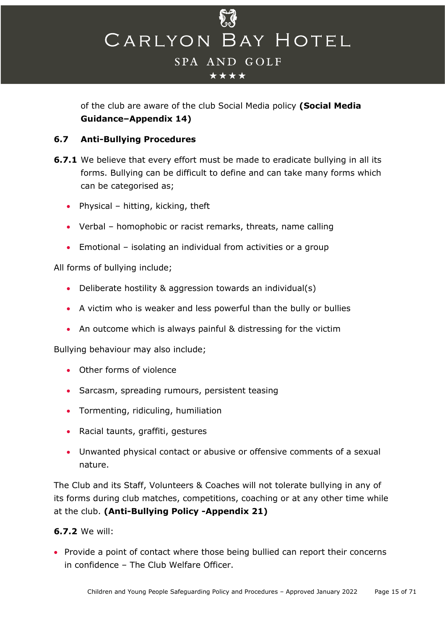

of the club are aware of the club Social Media policy **(Social Media Guidance–Appendix 14)**

## **6.7 Anti-Bullying Procedures**

- **6.7.1** We believe that every effort must be made to eradicate bullying in all its forms. Bullying can be difficult to define and can take many forms which can be categorised as;
	- Physical hitting, kicking, theft
	- Verbal homophobic or racist remarks, threats, name calling
	- Emotional isolating an individual from activities or a group

All forms of bullying include;

- Deliberate hostility & aggression towards an individual(s)
- A victim who is weaker and less powerful than the bully or bullies
- An outcome which is always painful & distressing for the victim

Bullying behaviour may also include;

- Other forms of violence
- Sarcasm, spreading rumours, persistent teasing
- Tormenting, ridiculing, humiliation
- Racial taunts, graffiti, gestures
- Unwanted physical contact or abusive or offensive comments of a sexual nature.

The Club and its Staff, Volunteers & Coaches will not tolerate bullying in any of its forms during club matches, competitions, coaching or at any other time while at the club. **(Anti-Bullying Policy -Appendix 21)**

## **6.7.2** We will:

• Provide a point of contact where those being bullied can report their concerns in confidence – The Club Welfare Officer.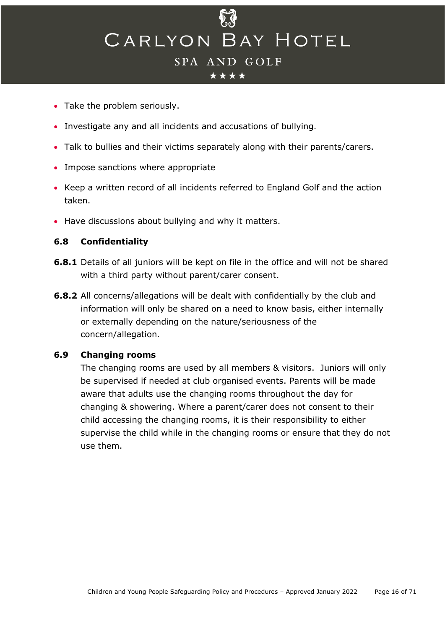- Take the problem seriously.
- Investigate any and all incidents and accusations of bullying.
- Talk to bullies and their victims separately along with their parents/carers.
- Impose sanctions where appropriate
- Keep a written record of all incidents referred to England Golf and the action taken.
- Have discussions about bullying and why it matters.

#### **6.8 Confidentiality**

- **6.8.1** Details of all juniors will be kept on file in the office and will not be shared with a third party without parent/carer consent.
- **6.8.2** All concerns/allegations will be dealt with confidentially by the club and information will only be shared on a need to know basis, either internally or externally depending on the nature/seriousness of the concern/allegation.

#### **6.9 Changing rooms**

The changing rooms are used by all members & visitors. Juniors will only be supervised if needed at club organised events. Parents will be made aware that adults use the changing rooms throughout the day for changing & showering. Where a parent/carer does not consent to their child accessing the changing rooms, it is their responsibility to either supervise the child while in the changing rooms or ensure that they do not use them.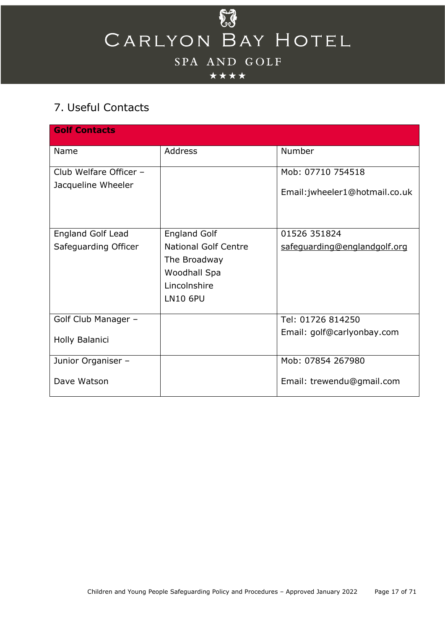## \*\*\*\*

## <span id="page-16-0"></span>7. Useful Contacts

| <b>Golf Contacts</b>     |                             |                                |
|--------------------------|-----------------------------|--------------------------------|
| Name                     | <b>Address</b>              | Number                         |
| Club Welfare Officer -   |                             | Mob: 07710 754518              |
| Jacqueline Wheeler       |                             | Email: jwheeler1@hotmail.co.uk |
| <b>England Golf Lead</b> | <b>England Golf</b>         | 01526 351824                   |
| Safeguarding Officer     | <b>National Golf Centre</b> | safeguarding@englandgolf.org   |
|                          | The Broadway                |                                |
|                          | Woodhall Spa                |                                |
|                          | Lincolnshire                |                                |
|                          | <b>LN10 6PU</b>             |                                |
| Golf Club Manager -      |                             | Tel: 01726 814250              |
| Holly Balanici           |                             | Email: golf@carlyonbay.com     |
| Junior Organiser -       |                             | Mob: 07854 267980              |
| Dave Watson              |                             | Email: trewendu@gmail.com      |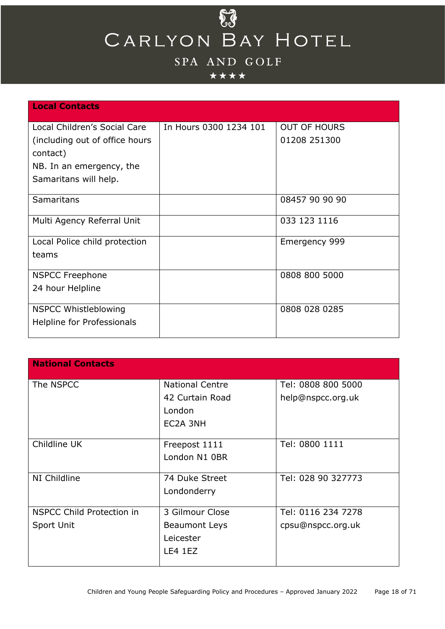

## \*\*\*\*

| <b>Local Contacts</b>          |                        |                     |
|--------------------------------|------------------------|---------------------|
| Local Children's Social Care   | In Hours 0300 1234 101 | <b>OUT OF HOURS</b> |
| (including out of office hours |                        | 01208 251300        |
| contact)                       |                        |                     |
| NB. In an emergency, the       |                        |                     |
| Samaritans will help.          |                        |                     |
| Samaritans                     |                        | 08457 90 90 90      |
|                                |                        |                     |
| Multi Agency Referral Unit     |                        | 033 123 1116        |
| Local Police child protection  |                        | Emergency 999       |
| teams                          |                        |                     |
|                                |                        |                     |
| <b>NSPCC Freephone</b>         |                        | 0808 800 5000       |
| 24 hour Helpline               |                        |                     |
| <b>NSPCC Whistleblowing</b>    |                        | 0808 028 0285       |
| Helpline for Professionals     |                        |                     |
|                                |                        |                     |

| <b>National Contacts</b>  |                        |                    |
|---------------------------|------------------------|--------------------|
| The NSPCC                 | <b>National Centre</b> | Tel: 0808 800 5000 |
|                           | 42 Curtain Road        | help@nspcc.org.uk  |
|                           | London                 |                    |
|                           | EC2A 3NH               |                    |
|                           |                        |                    |
| Childline UK              | Freepost 1111          | Tel: 0800 1111     |
|                           | London N1 0BR          |                    |
|                           |                        |                    |
| NI Childline              | 74 Duke Street         | Tel: 028 90 327773 |
|                           | Londonderry            |                    |
|                           |                        |                    |
| NSPCC Child Protection in | 3 Gilmour Close        | Tel: 0116 234 7278 |
| Sport Unit                | <b>Beaumont Leys</b>   | cpsu@nspcc.org.uk  |
|                           | Leicester              |                    |
|                           | <b>LE4 1EZ</b>         |                    |
|                           |                        |                    |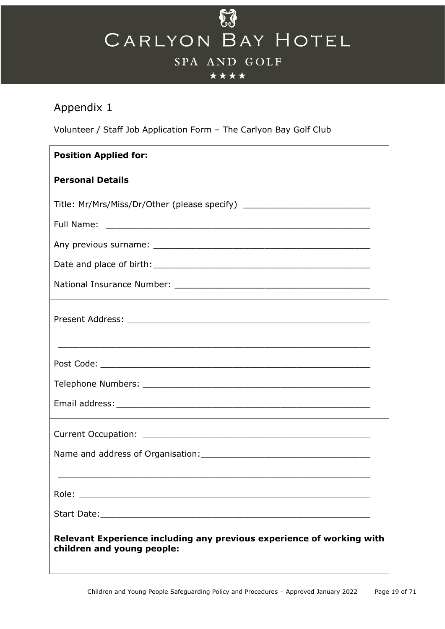## \*\*\*\*

## <span id="page-18-0"></span>Appendix 1

Volunteer / Staff Job Application Form – The Carlyon Bay Golf Club

| <b>Position Applied for:</b>                                                                        |  |  |  |
|-----------------------------------------------------------------------------------------------------|--|--|--|
| <b>Personal Details</b>                                                                             |  |  |  |
| Title: Mr/Mrs/Miss/Dr/Other (please specify) ___________________________________                    |  |  |  |
|                                                                                                     |  |  |  |
|                                                                                                     |  |  |  |
|                                                                                                     |  |  |  |
|                                                                                                     |  |  |  |
|                                                                                                     |  |  |  |
|                                                                                                     |  |  |  |
|                                                                                                     |  |  |  |
|                                                                                                     |  |  |  |
|                                                                                                     |  |  |  |
|                                                                                                     |  |  |  |
| Role:                                                                                               |  |  |  |
|                                                                                                     |  |  |  |
| Relevant Experience including any previous experience of working with<br>children and young people: |  |  |  |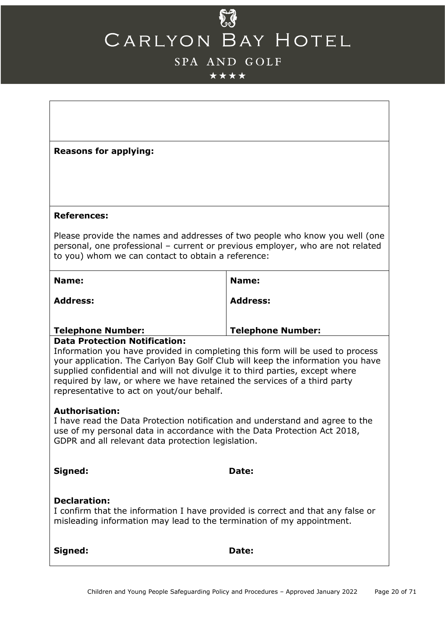## $\delta \hat{J}$ CARLYON BAY HOTEL

## SPA AND GOLF

## \*\*\*\*

| <b>Reasons for applying:</b>                                                                                                                                                                                                                                                                                                                                             |                          |  |
|--------------------------------------------------------------------------------------------------------------------------------------------------------------------------------------------------------------------------------------------------------------------------------------------------------------------------------------------------------------------------|--------------------------|--|
|                                                                                                                                                                                                                                                                                                                                                                          |                          |  |
| <b>References:</b>                                                                                                                                                                                                                                                                                                                                                       |                          |  |
| Please provide the names and addresses of two people who know you well (one<br>personal, one professional - current or previous employer, who are not related<br>to you) whom we can contact to obtain a reference:                                                                                                                                                      |                          |  |
| Name:                                                                                                                                                                                                                                                                                                                                                                    | Name:                    |  |
| <b>Address:</b>                                                                                                                                                                                                                                                                                                                                                          | <b>Address:</b>          |  |
| <b>Telephone Number:</b><br><b>Data Protection Notification:</b>                                                                                                                                                                                                                                                                                                         | <b>Telephone Number:</b> |  |
| Information you have provided in completing this form will be used to process<br>your application. The Carlyon Bay Golf Club will keep the information you have<br>supplied confidential and will not divulge it to third parties, except where<br>required by law, or where we have retained the services of a third party<br>representative to act on yout/our behalf. |                          |  |
| <b>Authorisation:</b><br>I have read the Data Protection notification and understand and agree to the<br>use of my personal data in accordance with the Data Protection Act 2018,<br>GDPR and all relevant data protection legislation.                                                                                                                                  |                          |  |
| Signed:                                                                                                                                                                                                                                                                                                                                                                  | Date:                    |  |
| <b>Declaration:</b><br>I confirm that the information I have provided is correct and that any false or<br>misleading information may lead to the termination of my appointment.                                                                                                                                                                                          |                          |  |
| Signed:                                                                                                                                                                                                                                                                                                                                                                  | Date:                    |  |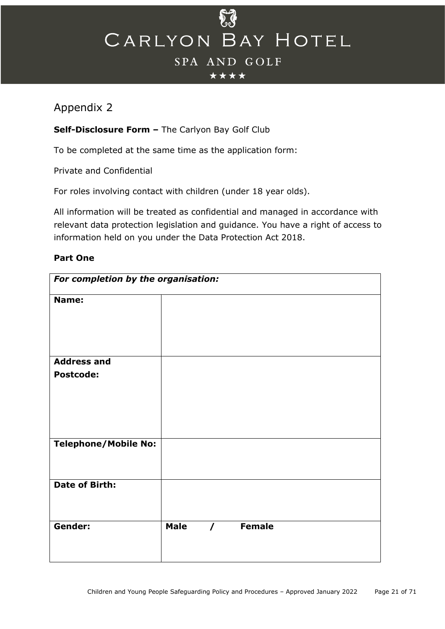

#### \*\*\*\*

## <span id="page-20-0"></span>Appendix 2

## **Self-Disclosure Form –** The Carlyon Bay Golf Club

To be completed at the same time as the application form:

Private and Confidential

For roles involving contact with children (under 18 year olds).

All information will be treated as confidential and managed in accordance with relevant data protection legislation and guidance. You have a right of access to information held on you under the Data Protection Act 2018.

#### **Part One**

| For completion by the organisation: |             |            |               |  |
|-------------------------------------|-------------|------------|---------------|--|
| Name:                               |             |            |               |  |
| <b>Address and</b>                  |             |            |               |  |
| <b>Postcode:</b>                    |             |            |               |  |
| <b>Telephone/Mobile No:</b>         |             |            |               |  |
| <b>Date of Birth:</b>               |             |            |               |  |
| Gender:                             | <b>Male</b> | $\sqrt{2}$ | <b>Female</b> |  |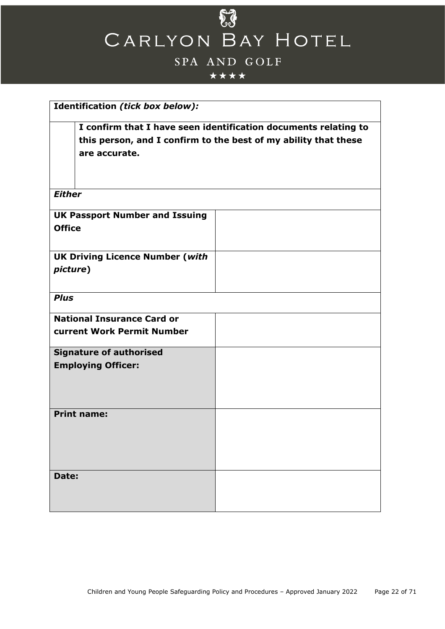

## \*\*\*\*

| Identification (tick box below):                                                                                                                    |  |  |
|-----------------------------------------------------------------------------------------------------------------------------------------------------|--|--|
| I confirm that I have seen identification documents relating to<br>this person, and I confirm to the best of my ability that these<br>are accurate. |  |  |
| <b>Either</b>                                                                                                                                       |  |  |
| <b>UK Passport Number and Issuing</b><br><b>Office</b>                                                                                              |  |  |
| <b>UK Driving Licence Number (with</b><br>picture)                                                                                                  |  |  |
| <b>Plus</b>                                                                                                                                         |  |  |
| <b>National Insurance Card or</b><br><b>current Work Permit Number</b>                                                                              |  |  |
| <b>Signature of authorised</b><br><b>Employing Officer:</b>                                                                                         |  |  |
| <b>Print name:</b>                                                                                                                                  |  |  |
| Date:                                                                                                                                               |  |  |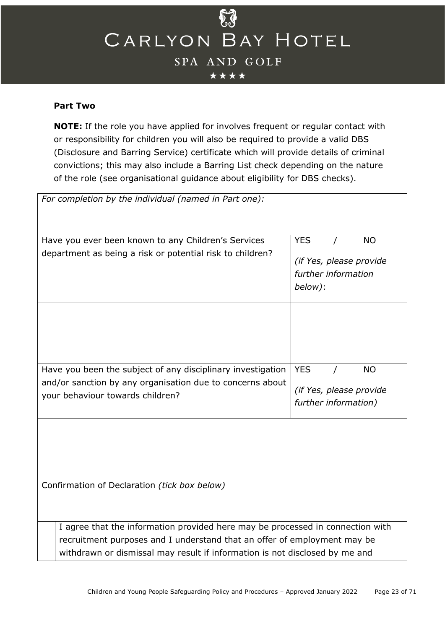

#### **Part Two**

**NOTE:** If the role you have applied for involves frequent or regular contact with or responsibility for children you will also be required to provide a valid DBS (Disclosure and Barring Service) certificate which will provide details of criminal convictions; this may also include a Barring List check depending on the nature of the role (see organisational guidance about eligibility for DBS checks).

| For completion by the individual (named in Part one):                                                                                                                                                                                     |                                                                                      |  |  |  |
|-------------------------------------------------------------------------------------------------------------------------------------------------------------------------------------------------------------------------------------------|--------------------------------------------------------------------------------------|--|--|--|
| Have you ever been known to any Children's Services<br>department as being a risk or potential risk to children?                                                                                                                          | <b>YES</b><br><b>NO</b><br>(if Yes, please provide<br>further information<br>below): |  |  |  |
|                                                                                                                                                                                                                                           |                                                                                      |  |  |  |
| Have you been the subject of any disciplinary investigation<br>and/or sanction by any organisation due to concerns about<br>your behaviour towards children?                                                                              | <b>YES</b><br><b>NO</b><br>(if Yes, please provide<br>further information)           |  |  |  |
|                                                                                                                                                                                                                                           |                                                                                      |  |  |  |
| Confirmation of Declaration (tick box below)                                                                                                                                                                                              |                                                                                      |  |  |  |
| I agree that the information provided here may be processed in connection with<br>recruitment purposes and I understand that an offer of employment may be<br>withdrawn or dismissal may result if information is not disclosed by me and |                                                                                      |  |  |  |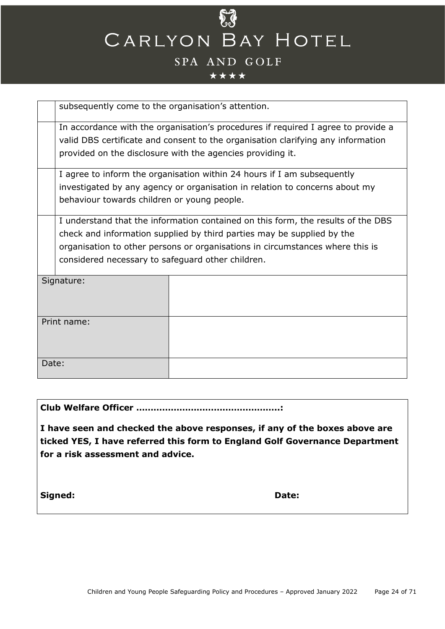

#### \*\*\*\*

| subsequently come to the organisation's attention.                                |                                                                                  |  |  |  |
|-----------------------------------------------------------------------------------|----------------------------------------------------------------------------------|--|--|--|
| In accordance with the organisation's procedures if required I agree to provide a |                                                                                  |  |  |  |
|                                                                                   | valid DBS certificate and consent to the organisation clarifying any information |  |  |  |
| provided on the disclosure with the agencies providing it.                        |                                                                                  |  |  |  |
|                                                                                   |                                                                                  |  |  |  |
|                                                                                   | I agree to inform the organisation within 24 hours if I am subsequently          |  |  |  |
|                                                                                   | investigated by any agency or organisation in relation to concerns about my      |  |  |  |
| behaviour towards children or young people.                                       |                                                                                  |  |  |  |
|                                                                                   | I understand that the information contained on this form, the results of the DBS |  |  |  |
|                                                                                   |                                                                                  |  |  |  |
| check and information supplied by third parties may be supplied by the            |                                                                                  |  |  |  |
| organisation to other persons or organisations in circumstances where this is     |                                                                                  |  |  |  |
| considered necessary to safeguard other children.                                 |                                                                                  |  |  |  |
| Signature:                                                                        |                                                                                  |  |  |  |
|                                                                                   |                                                                                  |  |  |  |
|                                                                                   |                                                                                  |  |  |  |
|                                                                                   |                                                                                  |  |  |  |
| Print name:                                                                       |                                                                                  |  |  |  |
|                                                                                   |                                                                                  |  |  |  |
|                                                                                   |                                                                                  |  |  |  |
| Date:                                                                             |                                                                                  |  |  |  |
|                                                                                   |                                                                                  |  |  |  |
|                                                                                   |                                                                                  |  |  |  |

**Club Welfare Officer …………………………………………..:**

**I have seen and checked the above responses, if any of the boxes above are ticked YES, I have referred this form to England Golf Governance Department for a risk assessment and advice.**

**Signed: Date:**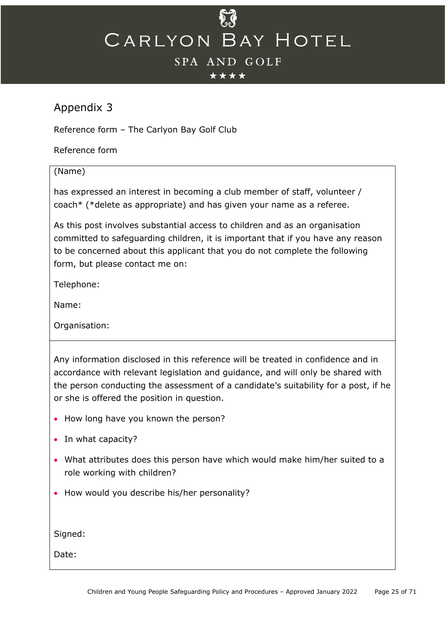#### \*\*\*\*

## <span id="page-24-0"></span>Appendix 3

Reference form – The Carlyon Bay Golf Club

Reference form

#### (Name)

has expressed an interest in becoming a club member of staff, volunteer / coach\* (\*delete as appropriate) and has given your name as a referee.

As this post involves substantial access to children and as an organisation committed to safeguarding children, it is important that if you have any reason to be concerned about this applicant that you do not complete the following form, but please contact me on:

Telephone:

Name:

Organisation:

Any information disclosed in this reference will be treated in confidence and in accordance with relevant legislation and guidance, and will only be shared with the person conducting the assessment of a candidate's suitability for a post, if he or she is offered the position in question.

- How long have you known the person?
- In what capacity?
- What attributes does this person have which would make him/her suited to a role working with children?
- How would you describe his/her personality?

Signed:

Date: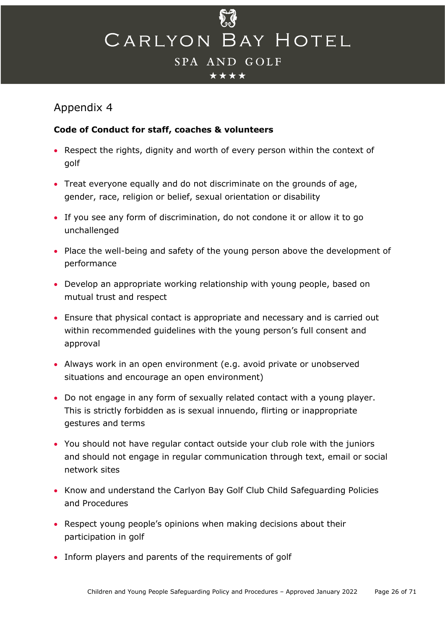

## <span id="page-25-0"></span>Appendix 4

### **Code of Conduct for staff, coaches & volunteers**

- Respect the rights, dignity and worth of every person within the context of golf
- Treat everyone equally and do not discriminate on the grounds of age, gender, race, religion or belief, sexual orientation or disability
- If you see any form of discrimination, do not condone it or allow it to go unchallenged
- Place the well-being and safety of the young person above the development of performance
- Develop an appropriate working relationship with young people, based on mutual trust and respect
- Ensure that physical contact is appropriate and necessary and is carried out within recommended guidelines with the young person's full consent and approval
- Always work in an open environment (e.g. avoid private or unobserved situations and encourage an open environment)
- Do not engage in any form of sexually related contact with a young player. This is strictly forbidden as is sexual innuendo, flirting or inappropriate gestures and terms
- You should not have regular contact outside your club role with the juniors and should not engage in regular communication through text, email or social network sites
- Know and understand the Carlyon Bay Golf Club Child Safeguarding Policies and Procedures
- Respect young people's opinions when making decisions about their participation in golf
- Inform players and parents of the requirements of golf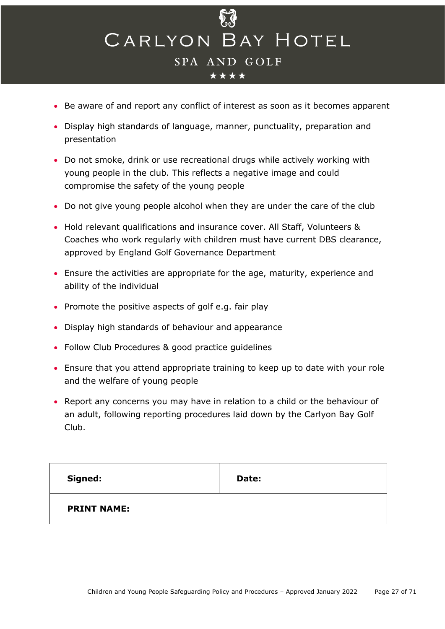- Be aware of and report any conflict of interest as soon as it becomes apparent
- Display high standards of language, manner, punctuality, preparation and presentation
- Do not smoke, drink or use recreational drugs while actively working with young people in the club. This reflects a negative image and could compromise the safety of the young people
- Do not give young people alcohol when they are under the care of the club
- Hold relevant qualifications and insurance cover. All Staff, Volunteers & Coaches who work regularly with children must have current DBS clearance, approved by England Golf Governance Department
- Ensure the activities are appropriate for the age, maturity, experience and ability of the individual
- Promote the positive aspects of golf e.g. fair play
- Display high standards of behaviour and appearance
- Follow Club Procedures & good practice guidelines
- Ensure that you attend appropriate training to keep up to date with your role and the welfare of young people
- Report any concerns you may have in relation to a child or the behaviour of an adult, following reporting procedures laid down by the Carlyon Bay Golf Club.

| Signed:            | Date: |
|--------------------|-------|
| <b>PRINT NAME:</b> |       |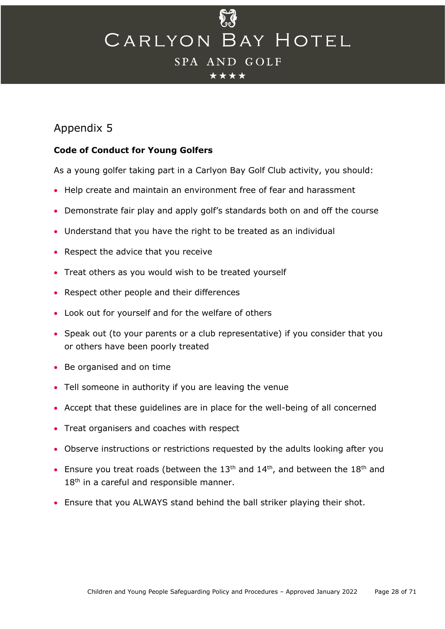#### \*\*\*\*

## <span id="page-27-0"></span>Appendix 5

## **Code of Conduct for Young Golfers**

As a young golfer taking part in a Carlyon Bay Golf Club activity, you should:

- Help create and maintain an environment free of fear and harassment
- Demonstrate fair play and apply golf's standards both on and off the course
- Understand that you have the right to be treated as an individual
- Respect the advice that you receive
- Treat others as you would wish to be treated yourself
- Respect other people and their differences
- Look out for yourself and for the welfare of others
- Speak out (to your parents or a club representative) if you consider that you or others have been poorly treated
- Be organised and on time
- Tell someone in authority if you are leaving the venue
- Accept that these guidelines are in place for the well-being of all concerned
- Treat organisers and coaches with respect
- Observe instructions or restrictions requested by the adults looking after you
- Ensure you treat roads (between the  $13<sup>th</sup>$  and  $14<sup>th</sup>$ , and between the  $18<sup>th</sup>$  and 18<sup>th</sup> in a careful and responsible manner.
- Ensure that you ALWAYS stand behind the ball striker playing their shot.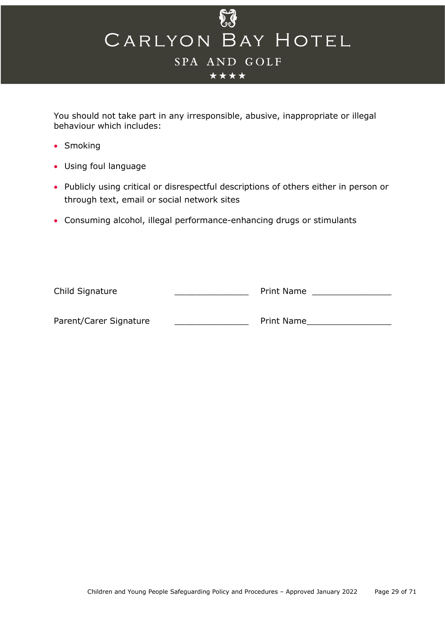

You should not take part in any irresponsible, abusive, inappropriate or illegal behaviour which includes:

- Smoking
- Using foul language
- Publicly using critical or disrespectful descriptions of others either in person or through text, email or social network sites
- Consuming alcohol, illegal performance-enhancing drugs or stimulants

| Child Signature        |  | Print Name |
|------------------------|--|------------|
|                        |  |            |
| Parent/Carer Signature |  | Print Name |
|                        |  |            |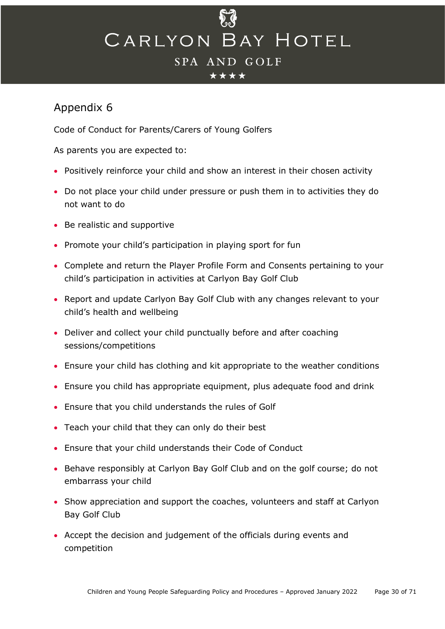#### \*\*\*\*

## <span id="page-29-0"></span>Appendix 6

Code of Conduct for Parents/Carers of Young Golfers

As parents you are expected to:

- Positively reinforce your child and show an interest in their chosen activity
- Do not place your child under pressure or push them in to activities they do not want to do
- Be realistic and supportive
- Promote your child's participation in playing sport for fun
- Complete and return the Player Profile Form and Consents pertaining to your child's participation in activities at Carlyon Bay Golf Club
- Report and update Carlyon Bay Golf Club with any changes relevant to your child's health and wellbeing
- Deliver and collect your child punctually before and after coaching sessions/competitions
- Ensure your child has clothing and kit appropriate to the weather conditions
- Ensure you child has appropriate equipment, plus adequate food and drink
- Ensure that you child understands the rules of Golf
- Teach your child that they can only do their best
- Ensure that your child understands their Code of Conduct
- Behave responsibly at Carlyon Bay Golf Club and on the golf course; do not embarrass your child
- Show appreciation and support the coaches, volunteers and staff at Carlyon Bay Golf Club
- Accept the decision and judgement of the officials during events and competition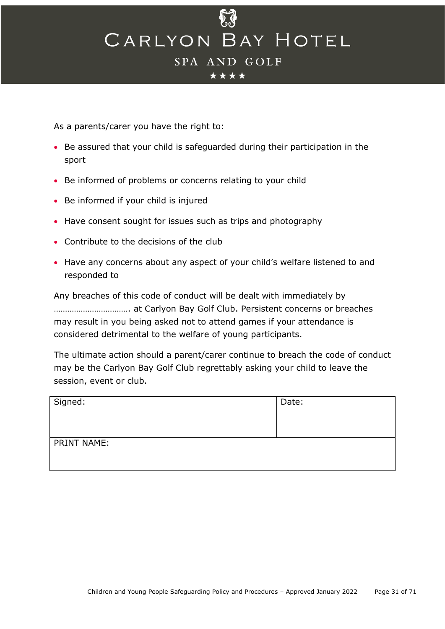\*\*\*\*

As a parents/carer you have the right to:

- Be assured that your child is safeguarded during their participation in the sport
- Be informed of problems or concerns relating to your child
- Be informed if your child is injured
- Have consent sought for issues such as trips and photography
- Contribute to the decisions of the club
- Have any concerns about any aspect of your child's welfare listened to and responded to

Any breaches of this code of conduct will be dealt with immediately by ……………………………. at Carlyon Bay Golf Club. Persistent concerns or breaches may result in you being asked not to attend games if your attendance is considered detrimental to the welfare of young participants.

The ultimate action should a parent/carer continue to breach the code of conduct may be the Carlyon Bay Golf Club regrettably asking your child to leave the session, event or club.

| Signed:     | Date: |
|-------------|-------|
| PRINT NAME: |       |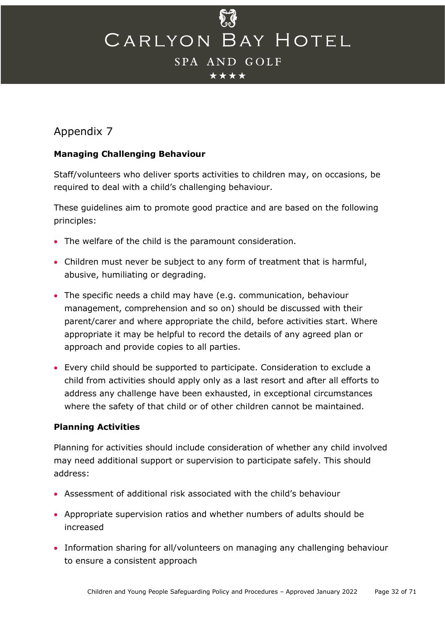\*\*\*\*

## Appendix 7

## **Managing Challenging Behaviour**

Staff/volunteers who deliver sports activities to children may, on occasions, be required to deal with a child's challenging behaviour.

These guidelines aim to promote good practice and are based on the following principles:

- The welfare of the child is the paramount consideration.
- Children must never be subject to any form of treatment that is harmful, abusive, humiliating or degrading.
- The specific needs a child may have (e.g. communication, behaviour management, comprehension and so on) should be discussed with their parent/carer and where appropriate the child, before activities start. Where appropriate it may be helpful to record the details of any agreed plan or approach and provide copies to all parties.
- Every child should be supported to participate. Consideration to exclude a child from activities should apply only as a last resort and after all efforts to address any challenge have been exhausted, in exceptional circumstances where the safety of that child or of other children cannot be maintained.

## **Planning Activities**

Planning for activities should include consideration of whether any child involved may need additional support or supervision to participate safely. This should address:

- Assessment of additional risk associated with the child's behaviour
- Appropriate supervision ratios and whether numbers of adults should be increased
- Information sharing for all/volunteers on managing any challenging behaviour to ensure a consistent approach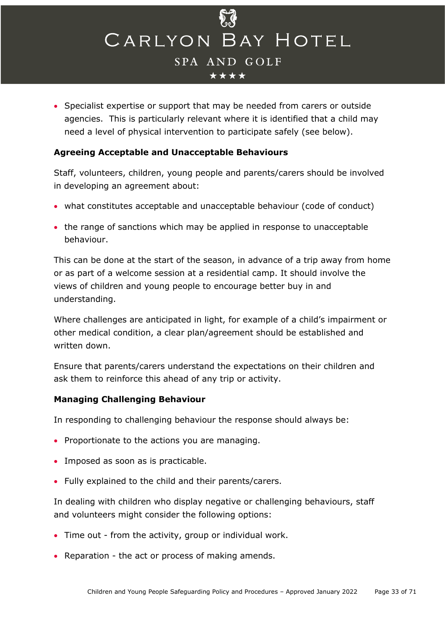

• Specialist expertise or support that may be needed from carers or outside agencies. This is particularly relevant where it is identified that a child may need a level of physical intervention to participate safely (see below).

#### **Agreeing Acceptable and Unacceptable Behaviours**

Staff, volunteers, children, young people and parents/carers should be involved in developing an agreement about:

- what constitutes acceptable and unacceptable behaviour (code of conduct)
- the range of sanctions which may be applied in response to unacceptable behaviour.

This can be done at the start of the season, in advance of a trip away from home or as part of a welcome session at a residential camp. It should involve the views of children and young people to encourage better buy in and understanding.

Where challenges are anticipated in light, for example of a child's impairment or other medical condition, a clear plan/agreement should be established and written down.

Ensure that parents/carers understand the expectations on their children and ask them to reinforce this ahead of any trip or activity.

#### **Managing Challenging Behaviour**

In responding to challenging behaviour the response should always be:

- Proportionate to the actions you are managing.
- Imposed as soon as is practicable.
- Fully explained to the child and their parents/carers.

In dealing with children who display negative or challenging behaviours, staff and volunteers might consider the following options:

- Time out from the activity, group or individual work.
- Reparation the act or process of making amends.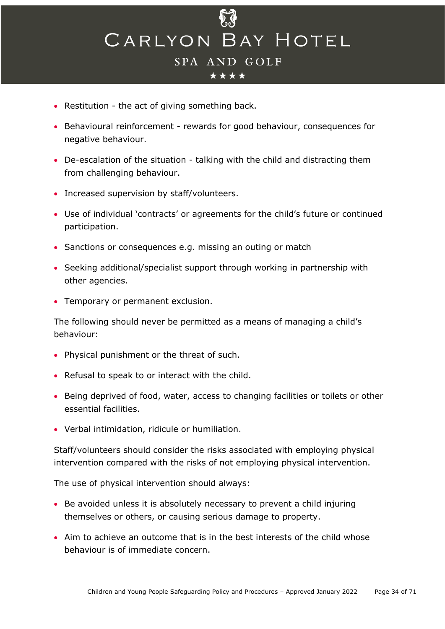

- Restitution the act of giving something back.
- Behavioural reinforcement rewards for good behaviour, consequences for negative behaviour.
- De-escalation of the situation talking with the child and distracting them from challenging behaviour.
- Increased supervision by staff/volunteers.
- Use of individual 'contracts' or agreements for the child's future or continued participation.
- Sanctions or consequences e.g. missing an outing or match
- Seeking additional/specialist support through working in partnership with other agencies.
- Temporary or permanent exclusion.

The following should never be permitted as a means of managing a child's behaviour:

- Physical punishment or the threat of such.
- Refusal to speak to or interact with the child.
- Being deprived of food, water, access to changing facilities or toilets or other essential facilities.
- Verbal intimidation, ridicule or humiliation.

Staff/volunteers should consider the risks associated with employing physical intervention compared with the risks of not employing physical intervention.

The use of physical intervention should always:

- Be avoided unless it is absolutely necessary to prevent a child injuring themselves or others, or causing serious damage to property.
- Aim to achieve an outcome that is in the best interests of the child whose behaviour is of immediate concern.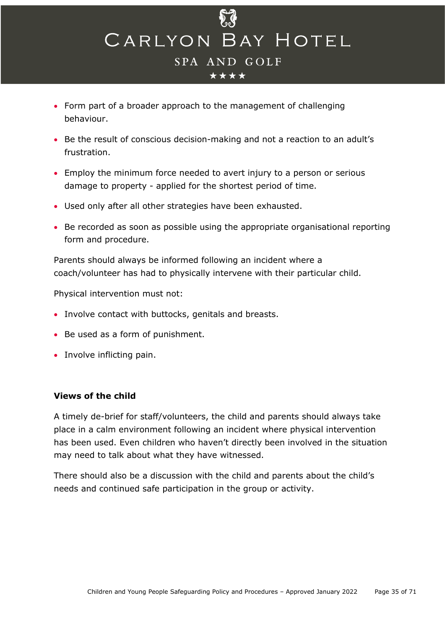

- Form part of a broader approach to the management of challenging behaviour.
- Be the result of conscious decision-making and not a reaction to an adult's frustration.
- Employ the minimum force needed to avert injury to a person or serious damage to property - applied for the shortest period of time.
- Used only after all other strategies have been exhausted.
- Be recorded as soon as possible using the appropriate organisational reporting form and procedure.

Parents should always be informed following an incident where a coach/volunteer has had to physically intervene with their particular child.

Physical intervention must not:

- Involve contact with buttocks, genitals and breasts.
- Be used as a form of punishment.
- Involve inflicting pain.

#### **Views of the child**

A timely de-brief for staff/volunteers, the child and parents should always take place in a calm environment following an incident where physical intervention has been used. Even children who haven't directly been involved in the situation may need to talk about what they have witnessed.

There should also be a discussion with the child and parents about the child's needs and continued safe participation in the group or activity.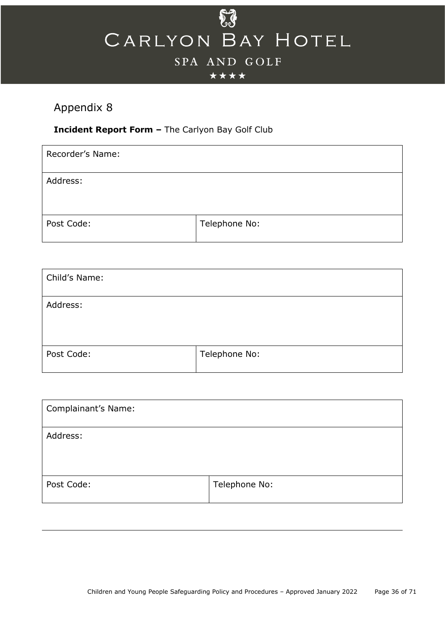

#### \*\*\*\*

## <span id="page-35-0"></span>Appendix 8

## **Incident Report Form –** The Carlyon Bay Golf Club

| Recorder's Name: |               |
|------------------|---------------|
| Address:         |               |
| Post Code:       | Telephone No: |

| Child's Name: |               |
|---------------|---------------|
| Address:      |               |
| Post Code:    | Telephone No: |

| <b>Complainant's Name:</b> |               |
|----------------------------|---------------|
| Address:                   |               |
| Post Code:                 | Telephone No: |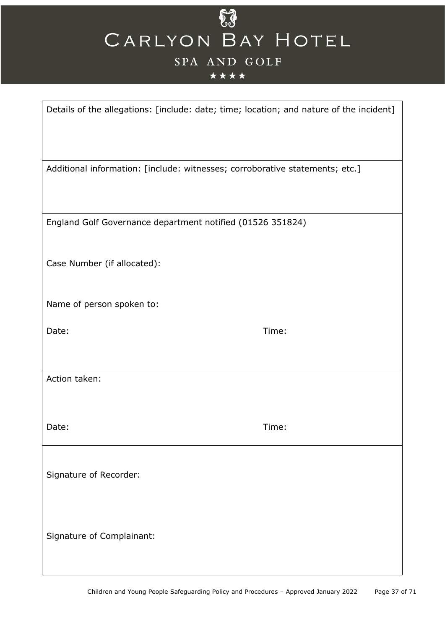## \*\*\*\*

| Details of the allegations: [include: date; time; location; and nature of the incident] |       |
|-----------------------------------------------------------------------------------------|-------|
| Additional information: [include: witnesses; corroborative statements; etc.]            |       |
| England Golf Governance department notified (01526 351824)                              |       |
| Case Number (if allocated):                                                             |       |
| Name of person spoken to:                                                               |       |
| Date:                                                                                   | Time: |
| Action taken:                                                                           |       |
| Date:                                                                                   | Time: |
| Signature of Recorder:                                                                  |       |
| Signature of Complainant:                                                               |       |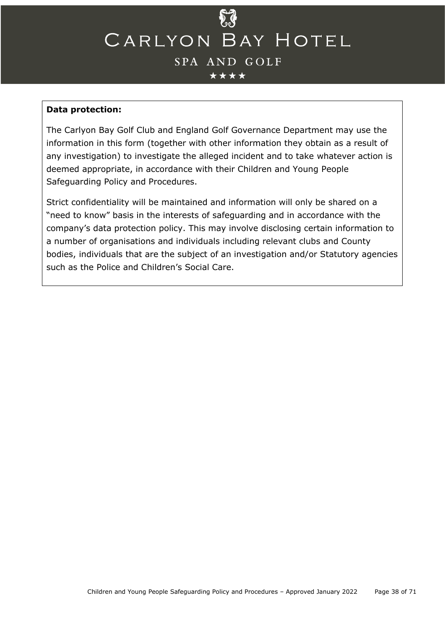#### \*\*\*\*

#### **Data protection:**

The Carlyon Bay Golf Club and England Golf Governance Department may use the information in this form (together with other information they obtain as a result of any investigation) to investigate the alleged incident and to take whatever action is deemed appropriate, in accordance with their Children and Young People Safeguarding Policy and Procedures.

<span id="page-37-0"></span>Strict confidentiality will be maintained and information will only be shared on a "need to know" basis in the interests of safeguarding and in accordance with the company's data protection policy. This may involve disclosing certain information to a number of organisations and individuals including relevant clubs and County bodies, individuals that are the subject of an investigation and/or Statutory agencies such as the Police and Children's Social Care.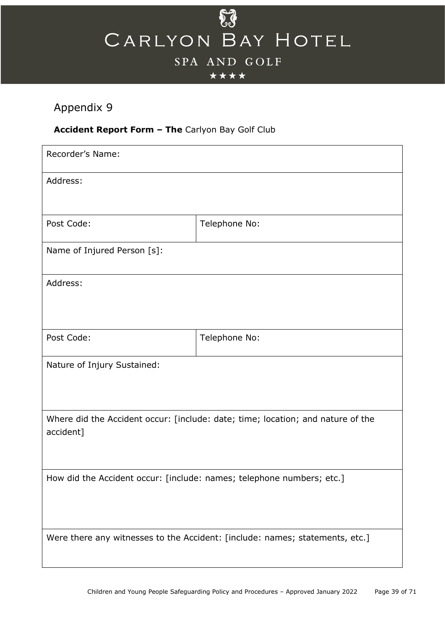

## \*\*\*\*

## Appendix 9

## **Accident Report Form – The** Carlyon Bay Golf Club

| Recorder's Name:                                                                             |                                                                              |  |
|----------------------------------------------------------------------------------------------|------------------------------------------------------------------------------|--|
| Address:                                                                                     |                                                                              |  |
|                                                                                              |                                                                              |  |
| Post Code:                                                                                   | Telephone No:                                                                |  |
| Name of Injured Person [s]:                                                                  |                                                                              |  |
| Address:                                                                                     |                                                                              |  |
|                                                                                              |                                                                              |  |
| Post Code:                                                                                   | Telephone No:                                                                |  |
| Nature of Injury Sustained:                                                                  |                                                                              |  |
| Where did the Accident occur: [include: date; time; location; and nature of the<br>accident] |                                                                              |  |
| How did the Accident occur: [include: names; telephone numbers; etc.]                        |                                                                              |  |
|                                                                                              | Were there any witnesses to the Accident: [include: names; statements, etc.] |  |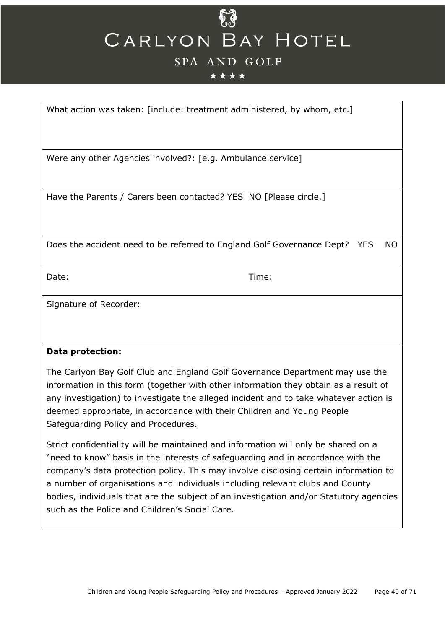## \*\*\*\*

What action was taken: [include: treatment administered, by whom, etc.]

Were any other Agencies involved?: [e.g. Ambulance service]

Have the Parents / Carers been contacted? YES NO [Please circle.]

Does the accident need to be referred to England Golf Governance Dept? YES NO

Date: Time:

Signature of Recorder:

#### **Data protection:**

The Carlyon Bay Golf Club and England Golf Governance Department may use the information in this form (together with other information they obtain as a result of any investigation) to investigate the alleged incident and to take whatever action is deemed appropriate, in accordance with their Children and Young People Safeguarding Policy and Procedures.

Strict confidentiality will be maintained and information will only be shared on a "need to know" basis in the interests of safeguarding and in accordance with the company's data protection policy. This may involve disclosing certain information to a number of organisations and individuals including relevant clubs and County bodies, individuals that are the subject of an investigation and/or Statutory agencies such as the Police and Children's Social Care.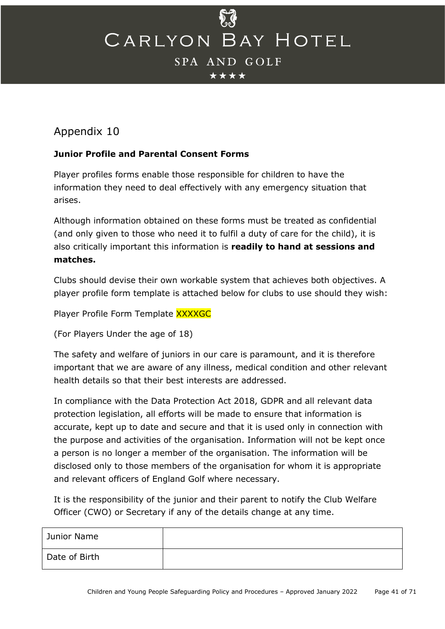\*\*\*\*

## <span id="page-40-0"></span>Appendix 10

## **Junior Profile and Parental Consent Forms**

Player profiles forms enable those responsible for children to have the information they need to deal effectively with any emergency situation that arises.

Although information obtained on these forms must be treated as confidential (and only given to those who need it to fulfil a duty of care for the child), it is also critically important this information is **readily to hand at sessions and matches.**

Clubs should devise their own workable system that achieves both objectives. A player profile form template is attached below for clubs to use should they wish:

Player Profile Form Template XXXXGC

(For Players Under the age of 18)

The safety and welfare of juniors in our care is paramount, and it is therefore important that we are aware of any illness, medical condition and other relevant health details so that their best interests are addressed.

In compliance with the Data Protection Act 2018, GDPR and all relevant data protection legislation, all efforts will be made to ensure that information is accurate, kept up to date and secure and that it is used only in connection with the purpose and activities of the organisation. Information will not be kept once a person is no longer a member of the organisation. The information will be disclosed only to those members of the organisation for whom it is appropriate and relevant officers of England Golf where necessary.

It is the responsibility of the junior and their parent to notify the Club Welfare Officer (CWO) or Secretary if any of the details change at any time.

| Junior Name   |  |
|---------------|--|
| Date of Birth |  |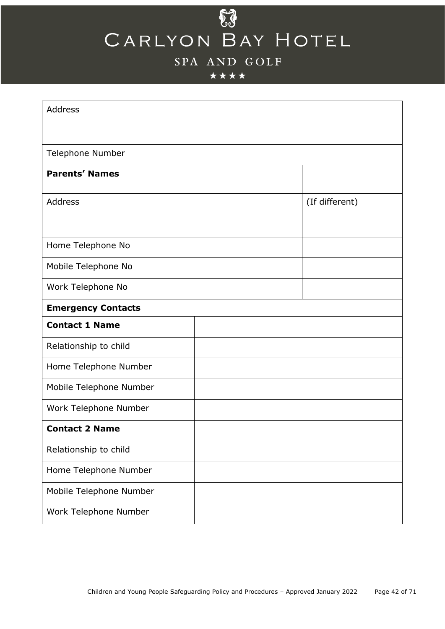## $\delta \hat{J}$ CARLYON BAY HOTEL

## SPA AND GOLF

## \*\*\*\*

| <b>Address</b>            |  |                |
|---------------------------|--|----------------|
| Telephone Number          |  |                |
| <b>Parents' Names</b>     |  |                |
| Address                   |  | (If different) |
|                           |  |                |
| Home Telephone No         |  |                |
| Mobile Telephone No       |  |                |
| Work Telephone No         |  |                |
| <b>Emergency Contacts</b> |  |                |
| <b>Contact 1 Name</b>     |  |                |
| Relationship to child     |  |                |
| Home Telephone Number     |  |                |
| Mobile Telephone Number   |  |                |
| Work Telephone Number     |  |                |
| <b>Contact 2 Name</b>     |  |                |
| Relationship to child     |  |                |
| Home Telephone Number     |  |                |
| Mobile Telephone Number   |  |                |
| Work Telephone Number     |  |                |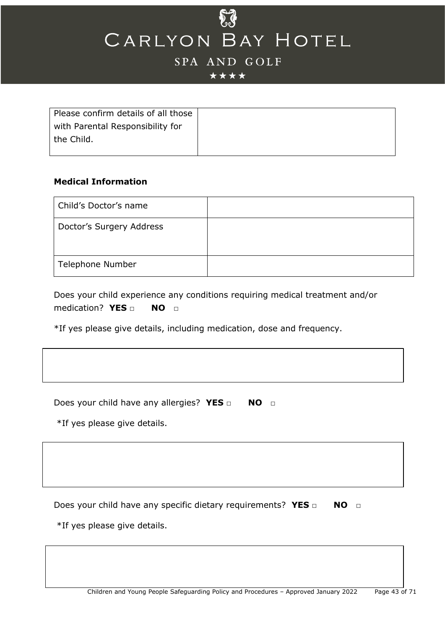

## SPA AND GOLF

#### \*\*\*\*

| Please confirm details of all those |  |
|-------------------------------------|--|
| with Parental Responsibility for    |  |
| the Child.                          |  |
|                                     |  |

#### **Medical Information**

| Child's Doctor's name    |  |
|--------------------------|--|
| Doctor's Surgery Address |  |
| Telephone Number         |  |

Does your child experience any conditions requiring medical treatment and/or medication? **YES □ NO □**

\*If yes please give details, including medication, dose and frequency.

Does your child have any allergies? **YES** □ **NO** □

\*If yes please give details.

Does your child have any specific dietary requirements? YES □ NO □

\*If yes please give details.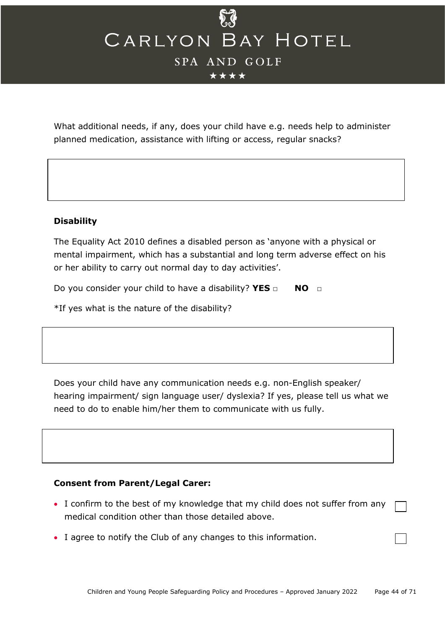\*\*\*\*

What additional needs, if any, does your child have e.g. needs help to administer planned medication, assistance with lifting or access, regular snacks?

#### **Disability**

The Equality Act 2010 defines a disabled person as 'anyone with a physical or mental impairment, which has a substantial and long term adverse effect on his or her ability to carry out normal day to day activities'.

Do you consider your child to have a disability? **YES** □ **NO** □

\*If yes what is the nature of the disability?

Does your child have any communication needs e.g. non-English speaker/ hearing impairment/ sign language user/ dyslexia? If yes, please tell us what we need to do to enable him/her them to communicate with us fully.

#### **Consent from Parent/Legal Carer:**

- I confirm to the best of my knowledge that my child does not suffer from any medical condition other than those detailed above.
- I agree to notify the Club of any changes to this information.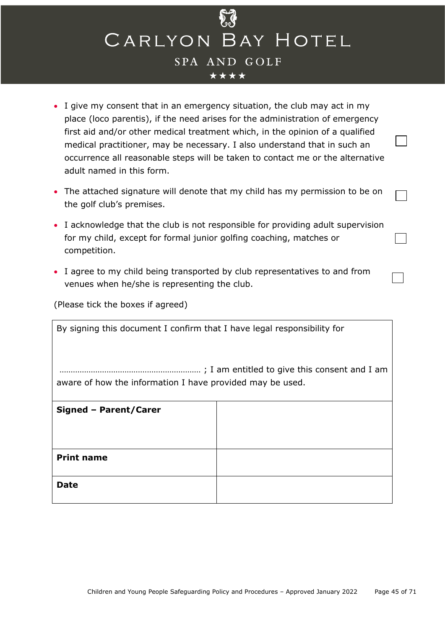- I give my consent that in an emergency situation, the club may act in my place (loco parentis), if the need arises for the administration of emergency first aid and/or other medical treatment which, in the opinion of a qualified medical practitioner, may be necessary. I also understand that in such an occurrence all reasonable steps will be taken to contact me or the alternative adult named in this form.
- The attached signature will denote that my child has my permission to be on the golf club's premises.
- I acknowledge that the club is not responsible for providing adult supervision for my child, except for formal junior golfing coaching, matches or competition.
- I agree to my child being transported by club representatives to and from venues when he/she is representing the club.

(Please tick the boxes if agreed)

| By signing this document I confirm that I have legal responsibility for |  |  |  |
|-------------------------------------------------------------------------|--|--|--|
| aware of how the information I have provided may be used.               |  |  |  |
| Signed - Parent/Carer                                                   |  |  |  |
|                                                                         |  |  |  |
| <b>Print name</b>                                                       |  |  |  |
| <b>Date</b>                                                             |  |  |  |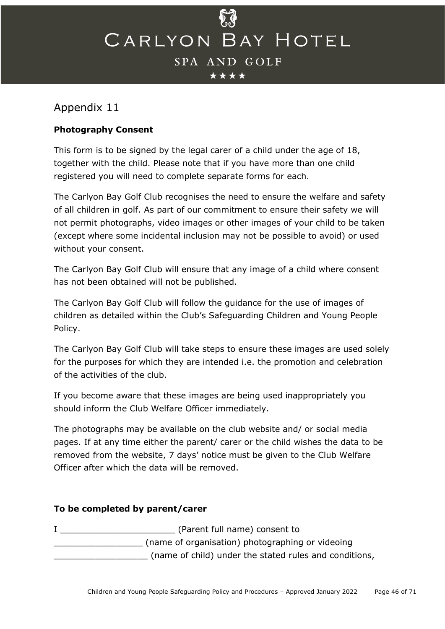## <span id="page-45-0"></span>Appendix 11

## **Photography Consent**

This form is to be signed by the legal carer of a child under the age of 18, together with the child. Please note that if you have more than one child registered you will need to complete separate forms for each.

The Carlyon Bay Golf Club recognises the need to ensure the welfare and safety of all children in golf. As part of our commitment to ensure their safety we will not permit photographs, video images or other images of your child to be taken (except where some incidental inclusion may not be possible to avoid) or used without your consent.

The Carlyon Bay Golf Club will ensure that any image of a child where consent has not been obtained will not be published.

The Carlyon Bay Golf Club will follow the guidance for the use of images of children as detailed within the Club's Safeguarding Children and Young People Policy.

The Carlyon Bay Golf Club will take steps to ensure these images are used solely for the purposes for which they are intended i.e. the promotion and celebration of the activities of the club.

If you become aware that these images are being used inappropriately you should inform the Club Welfare Officer immediately.

The photographs may be available on the club website and/ or social media pages. If at any time either the parent/ carer or the child wishes the data to be removed from the website, 7 days' notice must be given to the Club Welfare Officer after which the data will be removed.

## **To be completed by parent/carer**

I Charent full name) consent to \_\_\_\_\_\_\_\_\_\_\_\_\_\_\_\_\_ (name of organisation) photographing or videoing \_\_\_\_\_\_\_\_\_\_\_\_\_\_\_\_\_\_ (name of child) under the stated rules and conditions,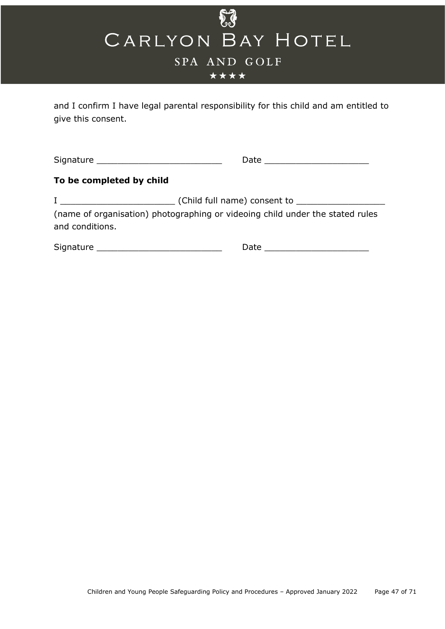

\*\*\*\*

and I confirm I have legal parental responsibility for this child and am entitled to give this consent.

Signature \_\_\_\_\_\_\_\_\_\_\_\_\_\_\_\_\_\_\_\_\_\_\_\_ Date \_\_\_\_\_\_\_\_\_\_\_\_\_\_\_\_\_\_\_\_

## **To be completed by child**

I \_\_\_\_\_\_\_\_\_\_\_\_\_\_\_\_\_\_\_\_\_\_ (Child full name) consent to \_\_\_\_\_\_\_\_\_\_\_\_\_\_\_\_\_ (name of organisation) photographing or videoing child under the stated rules and conditions.

<span id="page-46-0"></span>

| <b>.</b><br>$- - -$<br>יוכ<br>$\sim$ | $\sim$ |  |
|--------------------------------------|--------|--|
|                                      |        |  |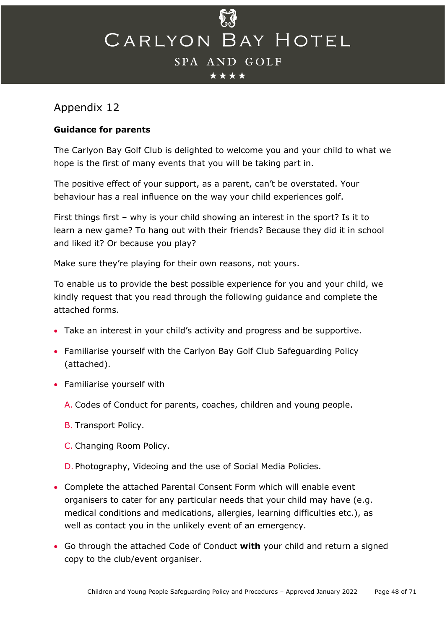## Appendix 12

## **Guidance for parents**

The Carlyon Bay Golf Club is delighted to welcome you and your child to what we hope is the first of many events that you will be taking part in.

The positive effect of your support, as a parent, can't be overstated. Your behaviour has a real influence on the way your child experiences golf.

First things first – why is your child showing an interest in the sport? Is it to learn a new game? To hang out with their friends? Because they did it in school and liked it? Or because you play?

Make sure they're playing for their own reasons, not yours.

To enable us to provide the best possible experience for you and your child, we kindly request that you read through the following guidance and complete the attached forms.

- Take an interest in your child's activity and progress and be supportive.
- Familiarise yourself with the Carlyon Bay Golf Club Safeguarding Policy (attached).
- Familiarise yourself with
	- A. Codes of Conduct for parents, coaches, children and young people.
	- B. Transport Policy.
	- C. Changing Room Policy.
	- D. Photography, Videoing and the use of Social Media Policies.
- Complete the attached Parental Consent Form which will enable event organisers to cater for any particular needs that your child may have (e.g. medical conditions and medications, allergies, learning difficulties etc.), as well as contact you in the unlikely event of an emergency.
- Go through the attached Code of Conduct **with** your child and return a signed copy to the club/event organiser.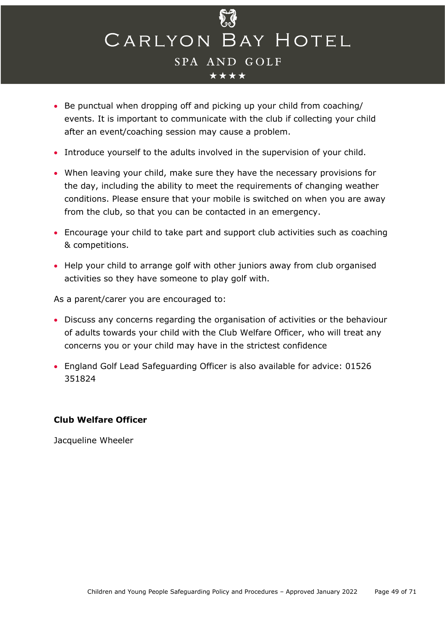

- Be punctual when dropping off and picking up your child from coaching/ events. It is important to communicate with the club if collecting your child after an event/coaching session may cause a problem.
- Introduce yourself to the adults involved in the supervision of your child.
- When leaving your child, make sure they have the necessary provisions for the day, including the ability to meet the requirements of changing weather conditions. Please ensure that your mobile is switched on when you are away from the club, so that you can be contacted in an emergency.
- Encourage your child to take part and support club activities such as coaching & competitions.
- Help your child to arrange golf with other juniors away from club organised activities so they have someone to play golf with.

As a parent/carer you are encouraged to:

- Discuss any concerns regarding the organisation of activities or the behaviour of adults towards your child with the Club Welfare Officer, who will treat any concerns you or your child may have in the strictest confidence
- England Golf Lead Safeguarding Officer is also available for advice: 01526 351824

#### **Club Welfare Officer**

<span id="page-48-0"></span>Jacqueline Wheeler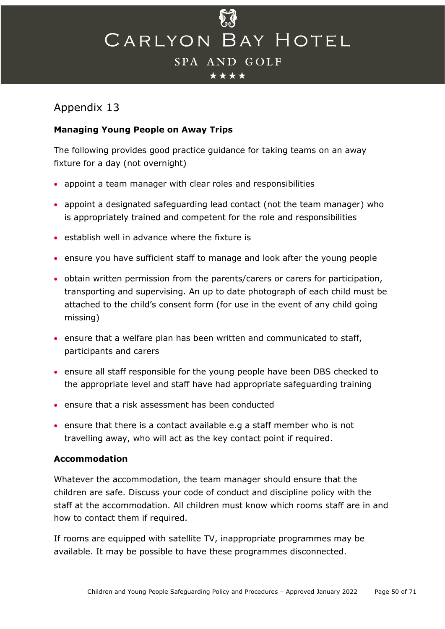

## Appendix 13

## **Managing Young People on Away Trips**

The following provides good practice guidance for taking teams on an away fixture for a day (not overnight)

- appoint a team manager with clear roles and responsibilities
- appoint a designated safeguarding lead contact (not the team manager) who is appropriately trained and competent for the role and responsibilities
- establish well in advance where the fixture is
- ensure you have sufficient staff to manage and look after the young people
- obtain written permission from the parents/carers or carers for participation, transporting and supervising. An up to date photograph of each child must be attached to the child's consent form (for use in the event of any child going missing)
- ensure that a welfare plan has been written and communicated to staff, participants and carers
- ensure all staff responsible for the young people have been DBS checked to the appropriate level and staff have had appropriate safeguarding training
- ensure that a risk assessment has been conducted
- ensure that there is a contact available e.g a staff member who is not travelling away, who will act as the key contact point if required.

#### **Accommodation**

Whatever the accommodation, the team manager should ensure that the children are safe. Discuss your code of conduct and discipline policy with the staff at the accommodation. All children must know which rooms staff are in and how to contact them if required.

If rooms are equipped with satellite TV, inappropriate programmes may be available. It may be possible to have these programmes disconnected.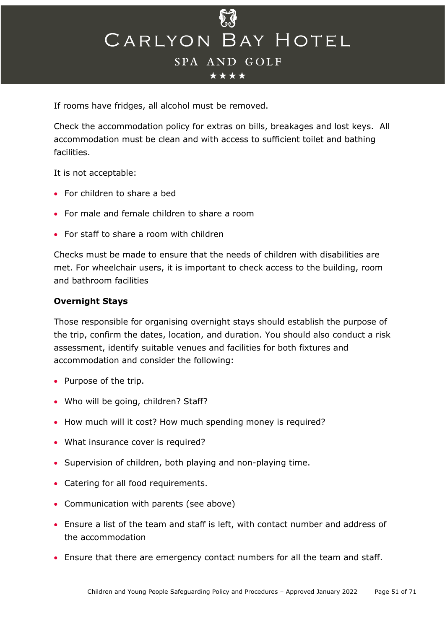

If rooms have fridges, all alcohol must be removed.

Check the accommodation policy for extras on bills, breakages and lost keys. All accommodation must be clean and with access to sufficient toilet and bathing facilities.

It is not acceptable:

- For children to share a bed
- For male and female children to share a room
- For staff to share a room with children

Checks must be made to ensure that the needs of children with disabilities are met. For wheelchair users, it is important to check access to the building, room and bathroom facilities

#### **Overnight Stays**

Those responsible for organising overnight stays should establish the purpose of the trip, confirm the dates, location, and duration. You should also conduct a risk assessment, identify suitable venues and facilities for both fixtures and accommodation and consider the following:

- Purpose of the trip.
- Who will be going, children? Staff?
- How much will it cost? How much spending money is required?
- What insurance cover is required?
- Supervision of children, both playing and non-playing time.
- Catering for all food requirements.
- Communication with parents (see above)
- Ensure a list of the team and staff is left, with contact number and address of the accommodation
- Ensure that there are emergency contact numbers for all the team and staff.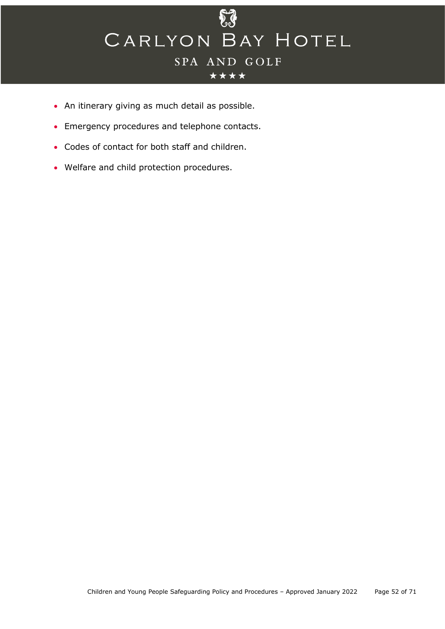

- An itinerary giving as much detail as possible.
- Emergency procedures and telephone contacts.
- Codes of contact for both staff and children.
- <span id="page-51-0"></span>• Welfare and child protection procedures.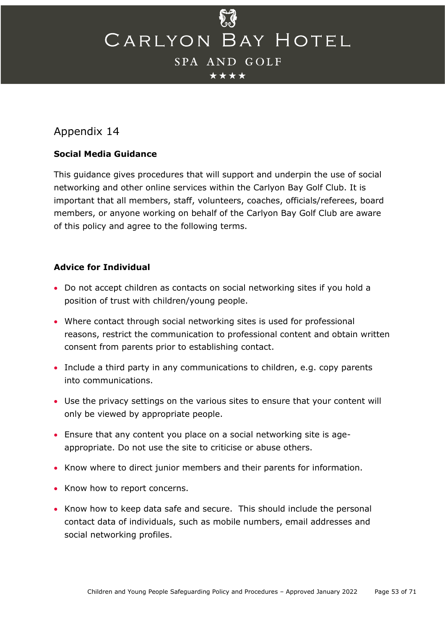\*\*\*\*

## Appendix 14

## **Social Media Guidance**

This guidance gives procedures that will support and underpin the use of social networking and other online services within the Carlyon Bay Golf Club. It is important that all members, staff, volunteers, coaches, officials/referees, board members, or anyone working on behalf of the Carlyon Bay Golf Club are aware of this policy and agree to the following terms.

## **Advice for Individual**

- Do not accept children as contacts on social networking sites if you hold a position of trust with children/young people.
- Where contact through social networking sites is used for professional reasons, restrict the communication to professional content and obtain written consent from parents prior to establishing contact.
- Include a third party in any communications to children, e.g. copy parents into communications.
- Use the privacy settings on the various sites to ensure that your content will only be viewed by appropriate people.
- Ensure that any content you place on a social networking site is ageappropriate. Do not use the site to criticise or abuse others.
- Know where to direct junior members and their parents for information.
- Know how to report concerns.
- Know how to keep data safe and secure. This should include the personal contact data of individuals, such as mobile numbers, email addresses and social networking profiles.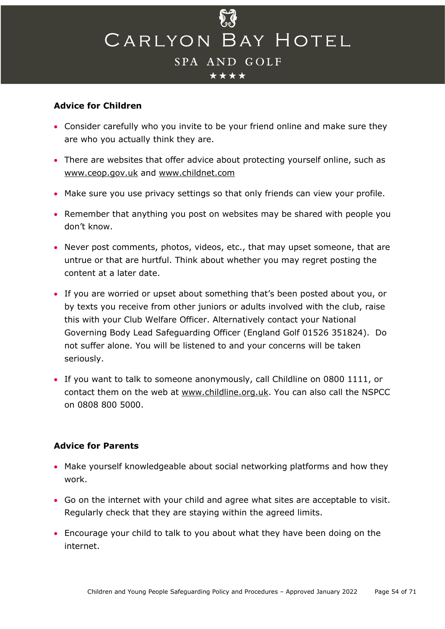

#### **Advice for Children**

- Consider carefully who you invite to be your friend online and make sure they are who you actually think they are.
- There are websites that offer advice about protecting yourself online, such as [www.ceop.gov.uk](http://www.ceop.gov.uk/) and [www.childnet.com](http://www.childnet.com/)
- Make sure you use privacy settings so that only friends can view your profile.
- Remember that anything you post on websites may be shared with people you don't know.
- Never post comments, photos, videos, etc., that may upset someone, that are untrue or that are hurtful. Think about whether you may regret posting the content at a later date.
- If you are worried or upset about something that's been posted about you, or by texts you receive from other juniors or adults involved with the club, raise this with your Club Welfare Officer. Alternatively contact your National Governing Body Lead Safeguarding Officer (England Golf 01526 351824). Do not suffer alone. You will be listened to and your concerns will be taken seriously.
- If you want to talk to someone anonymously, call Childline on 0800 1111, or contact them on the web at [www.childline.org.uk.](http://www.childline.org.uk/) You can also call the NSPCC on 0808 800 5000.

#### **Advice for Parents**

- Make yourself knowledgeable about social networking platforms and how they work.
- Go on the internet with your child and agree what sites are acceptable to visit. Regularly check that they are staying within the agreed limits.
- Encourage your child to talk to you about what they have been doing on the internet.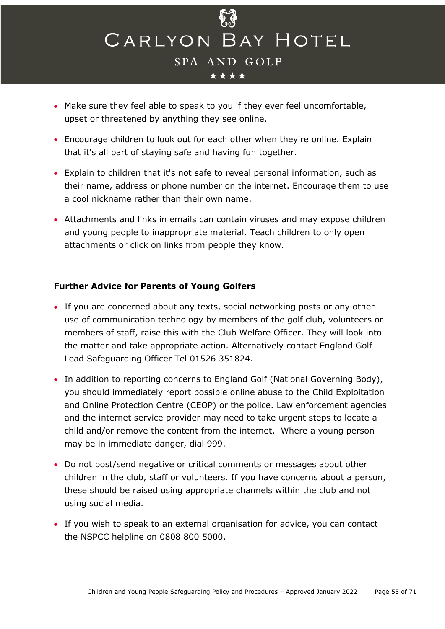

- Make sure they feel able to speak to you if they ever feel uncomfortable, upset or threatened by anything they see online.
- Encourage children to look out for each other when they're online. Explain that it's all part of staying safe and having fun together.
- Explain to children that it's not safe to reveal personal information, such as their name, address or phone number on the internet. Encourage them to use a cool nickname rather than their own name.
- Attachments and links in emails can contain viruses and may expose children and young people to inappropriate material. Teach children to only open attachments or click on links from people they know.

#### **Further Advice for Parents of Young Golfers**

- If you are concerned about any texts, social networking posts or any other use of communication technology by members of the golf club, volunteers or members of staff, raise this with the Club Welfare Officer. They will look into the matter and take appropriate action. Alternatively contact England Golf Lead Safeguarding Officer Tel 01526 351824.
- In addition to reporting concerns to England Golf (National Governing Body), you should immediately report possible online abuse to the Child Exploitation and Online Protection Centre (CEOP) or the police. Law enforcement agencies and the internet service provider may need to take urgent steps to locate a child and/or remove the content from the internet. Where a young person may be in immediate danger, dial 999.
- Do not post/send negative or critical comments or messages about other children in the club, staff or volunteers. If you have concerns about a person, these should be raised using appropriate channels within the club and not using social media.
- <span id="page-54-0"></span>• If you wish to speak to an external organisation for advice, you can contact the NSPCC helpline on 0808 800 5000.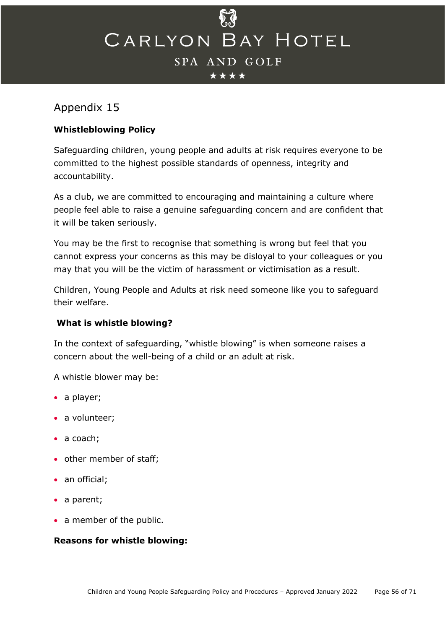## Appendix 15

## **Whistleblowing Policy**

Safeguarding children, young people and adults at risk requires everyone to be committed to the highest possible standards of openness, integrity and accountability.

As a club, we are committed to encouraging and maintaining a culture where people feel able to raise a genuine safeguarding concern and are confident that it will be taken seriously.

You may be the first to recognise that something is wrong but feel that you cannot express your concerns as this may be disloyal to your colleagues or you may that you will be the victim of harassment or victimisation as a result.

Children, Young People and Adults at risk need someone like you to safeguard their welfare.

## **What is whistle blowing?**

In the context of safeguarding, "whistle blowing" is when someone raises a concern about the well-being of a child or an adult at risk.

A whistle blower may be:

- a player;
- a volunteer;
- a coach;
- other member of staff;
- an official;
- a parent;
- a member of the public.

## **Reasons for whistle blowing:**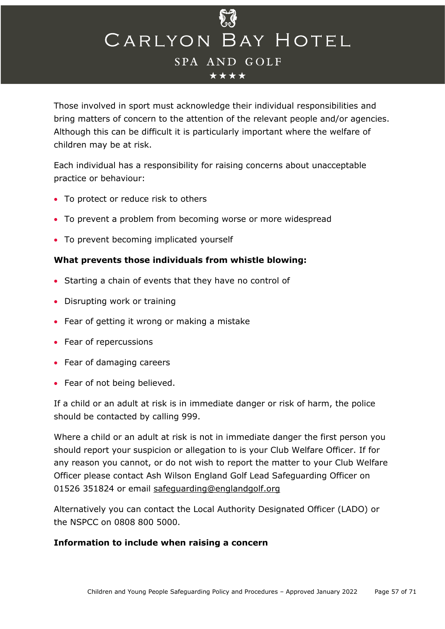

Those involved in sport must acknowledge their individual responsibilities and bring matters of concern to the attention of the relevant people and/or agencies. Although this can be difficult it is particularly important where the welfare of children may be at risk.

Each individual has a responsibility for raising concerns about unacceptable practice or behaviour:

- To protect or reduce risk to others
- To prevent a problem from becoming worse or more widespread
- To prevent becoming implicated yourself

#### **What prevents those individuals from whistle blowing:**

- Starting a chain of events that they have no control of
- Disrupting work or training
- Fear of getting it wrong or making a mistake
- Fear of repercussions
- Fear of damaging careers
- Fear of not being believed.

If a child or an adult at risk is in immediate danger or risk of harm, the police should be contacted by calling 999.

Where a child or an adult at risk is not in immediate danger the first person you should report your suspicion or allegation to is your Club Welfare Officer. If for any reason you cannot, or do not wish to report the matter to your Club Welfare Officer please contact Ash Wilson England Golf Lead Safeguarding Officer on 01526 351824 or email [safeguarding@englandgolf.org](mailto:safeguarding@englandgolf.org)

Alternatively you can contact the Local Authority Designated Officer (LADO) or the NSPCC on 0808 800 5000.

#### **Information to include when raising a concern**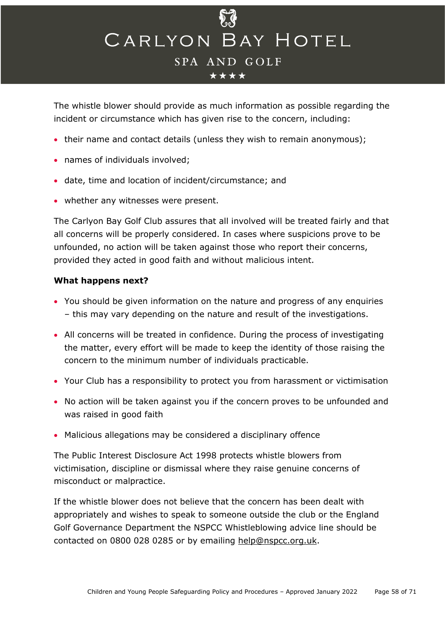

The whistle blower should provide as much information as possible regarding the incident or circumstance which has given rise to the concern, including:

- their name and contact details (unless they wish to remain anonymous);
- names of individuals involved;
- date, time and location of incident/circumstance; and
- whether any witnesses were present.

The Carlyon Bay Golf Club assures that all involved will be treated fairly and that all concerns will be properly considered. In cases where suspicions prove to be unfounded, no action will be taken against those who report their concerns, provided they acted in good faith and without malicious intent.

#### **What happens next?**

- You should be given information on the nature and progress of any enquiries – this may vary depending on the nature and result of the investigations.
- All concerns will be treated in confidence. During the process of investigating the matter, every effort will be made to keep the identity of those raising the concern to the minimum number of individuals practicable.
- Your Club has a responsibility to protect you from harassment or victimisation
- No action will be taken against you if the concern proves to be unfounded and was raised in good faith
- Malicious allegations may be considered a disciplinary offence

The Public Interest Disclosure Act 1998 protects whistle blowers from victimisation, discipline or dismissal where they raise genuine concerns of misconduct or malpractice.

If the whistle blower does not believe that the concern has been dealt with appropriately and wishes to speak to someone outside the club or the England Golf Governance Department the NSPCC Whistleblowing advice line should be contacted on 0800 028 0285 or by emailing [help@nspcc.org.uk.](mailto:help@nspcc.org.uk)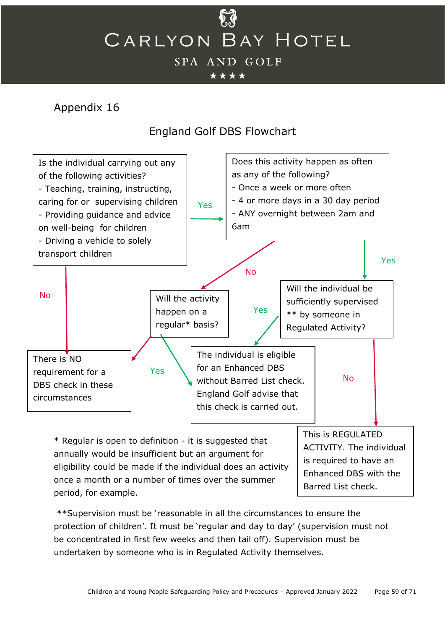

## <span id="page-58-0"></span>Appendix 16

## England Golf DBS Flowchart



annually would be insufficient but an argument for eligibility could be made if the individual does an activity once a month or a number of times over the summer period, for example. is required to have an Enhanced DBS with the Barred List check.

\*\*Supervision must be 'reasonable in all the circumstances to ensure the protection of children'. It must be 'regular and day to day' (supervision must not be concentrated in first few weeks and then tail off). Supervision must be undertaken by someone who is in Regulated Activity themselves.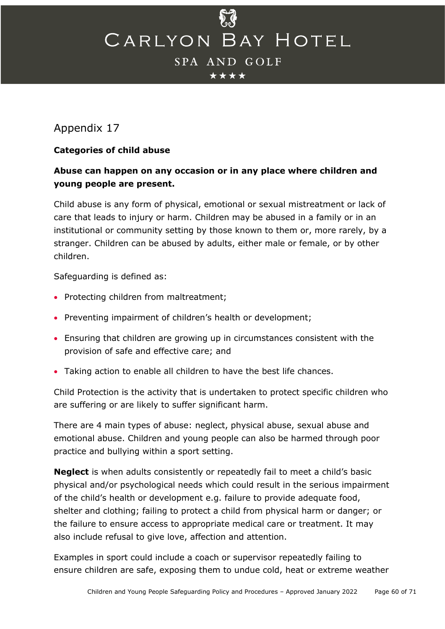## <span id="page-59-0"></span>Appendix 17

## **Categories of child abuse**

## **Abuse can happen on any occasion or in any place where children and young people are present.**

Child abuse is any form of physical, emotional or sexual mistreatment or lack of care that leads to injury or harm. Children may be abused in a family or in an institutional or community setting by those known to them or, more rarely, by a stranger. Children can be abused by adults, either male or female, or by other children.

Safeguarding is defined as:

- Protecting children from maltreatment;
- Preventing impairment of children's health or development;
- Ensuring that children are growing up in circumstances consistent with the provision of safe and effective care; and
- Taking action to enable all children to have the best life chances.

Child Protection is the activity that is undertaken to protect specific children who are suffering or are likely to suffer significant harm.

There are 4 main types of abuse: neglect, physical abuse, sexual abuse and emotional abuse. Children and young people can also be harmed through poor practice and bullying within a sport setting.

**Neglect** is when adults consistently or repeatedly fail to meet a child's basic physical and/or psychological needs which could result in the serious impairment of the child's health or development e.g. failure to provide adequate food, shelter and clothing; failing to protect a child from physical harm or danger; or the failure to ensure access to appropriate medical care or treatment. It may also include refusal to give love, affection and attention.

Examples in sport could include a coach or supervisor repeatedly failing to ensure children are safe, exposing them to undue cold, heat or extreme weather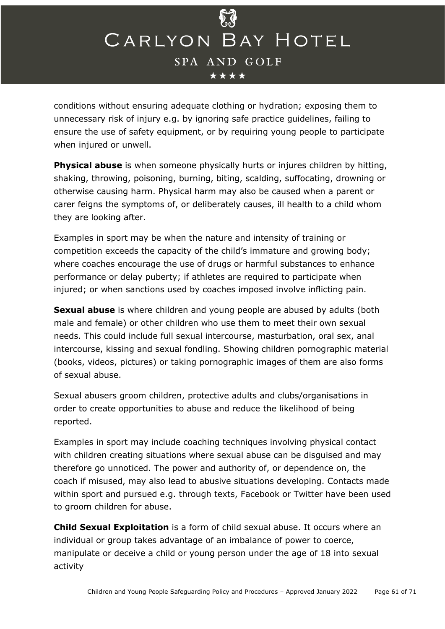

conditions without ensuring adequate clothing or hydration; exposing them to unnecessary risk of injury e.g. by ignoring safe practice guidelines, failing to ensure the use of safety equipment, or by requiring young people to participate when injured or unwell.

**Physical abuse** is when someone physically hurts or injures children by hitting, shaking, throwing, poisoning, burning, biting, scalding, suffocating, drowning or otherwise causing harm. Physical harm may also be caused when a parent or carer feigns the symptoms of, or deliberately causes, ill health to a child whom they are looking after.

Examples in sport may be when the nature and intensity of training or competition exceeds the capacity of the child's immature and growing body; where coaches encourage the use of drugs or harmful substances to enhance performance or delay puberty; if athletes are required to participate when injured; or when sanctions used by coaches imposed involve inflicting pain.

**Sexual abuse** is where children and young people are abused by adults (both male and female) or other children who use them to meet their own sexual needs. This could include full sexual intercourse, masturbation, oral sex, anal intercourse, kissing and sexual fondling. Showing children pornographic material (books, videos, pictures) or taking pornographic images of them are also forms of sexual abuse.

Sexual abusers groom children, protective adults and clubs/organisations in order to create opportunities to abuse and reduce the likelihood of being reported.

Examples in sport may include coaching techniques involving physical contact with children creating situations where sexual abuse can be disguised and may therefore go unnoticed. The power and authority of, or dependence on, the coach if misused, may also lead to abusive situations developing. Contacts made within sport and pursued e.g. through texts, Facebook or Twitter have been used to groom children for abuse.

**Child Sexual Exploitation** is a form of child sexual abuse. It occurs where an individual or group takes advantage of an imbalance of power to coerce, manipulate or deceive a child or young person under the age of 18 into sexual activity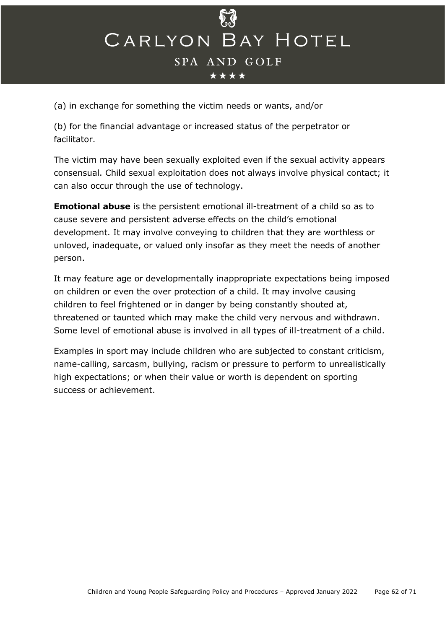(a) in exchange for something the victim needs or wants, and/or

(b) for the financial advantage or increased status of the perpetrator or facilitator.

The victim may have been sexually exploited even if the sexual activity appears consensual. Child sexual exploitation does not always involve physical contact; it can also occur through the use of technology.

**Emotional abuse** is the persistent emotional ill-treatment of a child so as to cause severe and persistent adverse effects on the child's emotional development. It may involve conveying to children that they are worthless or unloved, inadequate, or valued only insofar as they meet the needs of another person.

It may feature age or developmentally inappropriate expectations being imposed on children or even the over protection of a child. It may involve causing children to feel frightened or in danger by being constantly shouted at, threatened or taunted which may make the child very nervous and withdrawn. Some level of emotional abuse is involved in all types of ill-treatment of a child.

Examples in sport may include children who are subjected to constant criticism, name-calling, sarcasm, bullying, racism or pressure to perform to unrealistically high expectations; or when their value or worth is dependent on sporting success or achievement.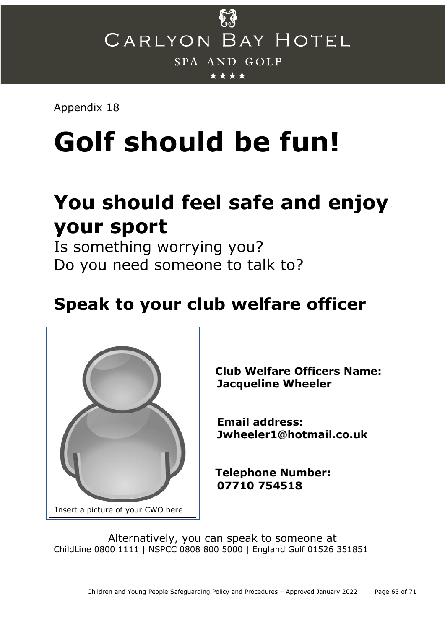

Appendix 18

# **Golf should be fun!**

## **You should feel safe and enjoy your sport**

Is something worrying you? Do you need someone to talk to?

## **Speak to your club welfare officer**



**Club Welfare Officers Name: Jacqueline Wheeler**

 **Email address: Jwheeler1@hotmail.co.uk**

**Telephone Number: 07710 754518**

Alternatively, you can speak to someone at ChildLine 0800 1111 | NSPCC 0808 800 5000 | England Golf 01526 351851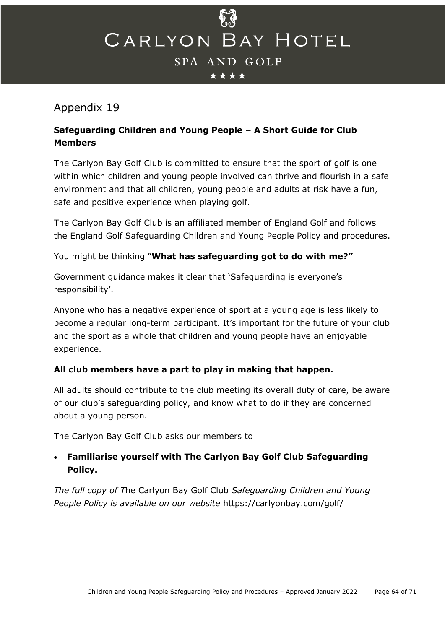

## <span id="page-63-0"></span>Appendix 19

## **Safeguarding Children and Young People – A Short Guide for Club Members**

The Carlyon Bay Golf Club is committed to ensure that the sport of golf is one within which children and young people involved can thrive and flourish in a safe environment and that all children, young people and adults at risk have a fun, safe and positive experience when playing golf.

The Carlyon Bay Golf Club is an affiliated member of England Golf and follows the England Golf Safeguarding Children and Young People Policy and procedures.

You might be thinking "**What has safeguarding got to do with me?"**

Government guidance makes it clear that 'Safeguarding is everyone's responsibility'.

Anyone who has a negative experience of sport at a young age is less likely to become a regular long-term participant. It's important for the future of your club and the sport as a whole that children and young people have an enjoyable experience.

## **All club members have a part to play in making that happen.**

All adults should contribute to the club meeting its overall duty of care, be aware of our club's safeguarding policy, and know what to do if they are concerned about a young person.

The Carlyon Bay Golf Club asks our members to

## • **Familiarise yourself with The Carlyon Bay Golf Club Safeguarding Policy.**

*The full copy of T*he Carlyon Bay Golf Club *Safeguarding Children and Young People Policy is available on our website* <https://carlyonbay.com/golf/>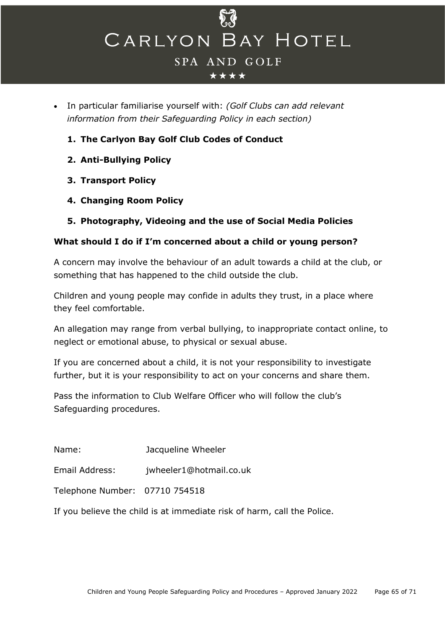

#### \*\*\*\*

- In particular familiarise yourself with: *(Golf Clubs can add relevant information from their Safeguarding Policy in each section)*
	- **1. The Carlyon Bay Golf Club Codes of Conduct**
	- **2. Anti-Bullying Policy**
	- **3. Transport Policy**
	- **4. Changing Room Policy**
	- **5. Photography, Videoing and the use of Social Media Policies**

#### **What should I do if I'm concerned about a child or young person?**

A concern may involve the behaviour of an adult towards a child at the club, or something that has happened to the child outside the club.

Children and young people may confide in adults they trust, in a place where they feel comfortable.

An allegation may range from verbal bullying, to inappropriate contact online, to neglect or emotional abuse, to physical or sexual abuse.

If you are concerned about a child, it is not your responsibility to investigate further, but it is your responsibility to act on your concerns and share them.

Pass the information to Club Welfare Officer who will follow the club's Safeguarding procedures.

Name: Jacqueline Wheeler

Email Address: jwheeler1@hotmail.co.uk

Telephone Number: 07710 754518

If you believe the child is at immediate risk of harm, call the Police.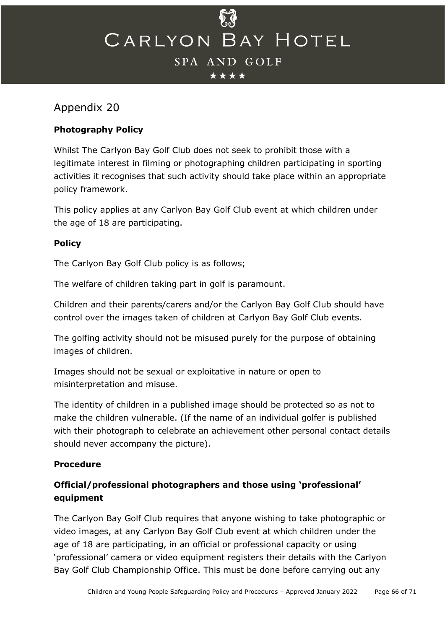## <span id="page-65-0"></span>Appendix 20

## **Photography Policy**

Whilst The Carlyon Bay Golf Club does not seek to prohibit those with a legitimate interest in filming or photographing children participating in sporting activities it recognises that such activity should take place within an appropriate policy framework.

This policy applies at any Carlyon Bay Golf Club event at which children under the age of 18 are participating.

## **Policy**

The Carlyon Bay Golf Club policy is as follows;

The welfare of children taking part in golf is paramount.

Children and their parents/carers and/or the Carlyon Bay Golf Club should have control over the images taken of children at Carlyon Bay Golf Club events.

The golfing activity should not be misused purely for the purpose of obtaining images of children.

Images should not be sexual or exploitative in nature or open to misinterpretation and misuse.

The identity of children in a published image should be protected so as not to make the children vulnerable. (If the name of an individual golfer is published with their photograph to celebrate an achievement other personal contact details should never accompany the picture).

## **Procedure**

## **Official/professional photographers and those using 'professional' equipment**

The Carlyon Bay Golf Club requires that anyone wishing to take photographic or video images, at any Carlyon Bay Golf Club event at which children under the age of 18 are participating, in an official or professional capacity or using 'professional' camera or video equipment registers their details with the Carlyon Bay Golf Club Championship Office. This must be done before carrying out any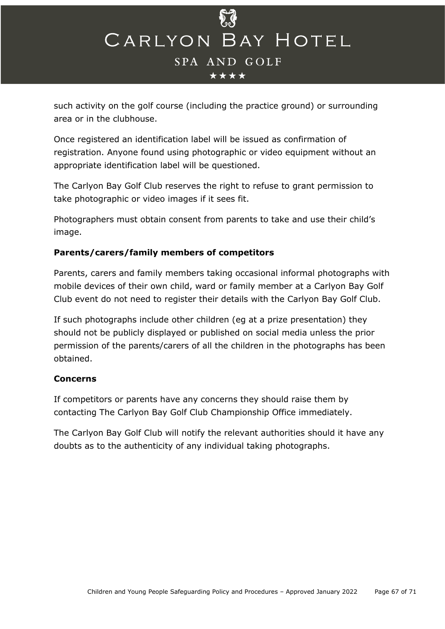

such activity on the golf course (including the practice ground) or surrounding area or in the clubhouse.

Once registered an identification label will be issued as confirmation of registration. Anyone found using photographic or video equipment without an appropriate identification label will be questioned.

The Carlyon Bay Golf Club reserves the right to refuse to grant permission to take photographic or video images if it sees fit.

Photographers must obtain consent from parents to take and use their child's image.

## **Parents/carers/family members of competitors**

Parents, carers and family members taking occasional informal photographs with mobile devices of their own child, ward or family member at a Carlyon Bay Golf Club event do not need to register their details with the Carlyon Bay Golf Club.

If such photographs include other children (eg at a prize presentation) they should not be publicly displayed or published on social media unless the prior permission of the parents/carers of all the children in the photographs has been obtained.

#### **Concerns**

If competitors or parents have any concerns they should raise them by contacting The Carlyon Bay Golf Club Championship Office immediately.

The Carlyon Bay Golf Club will notify the relevant authorities should it have any doubts as to the authenticity of any individual taking photographs.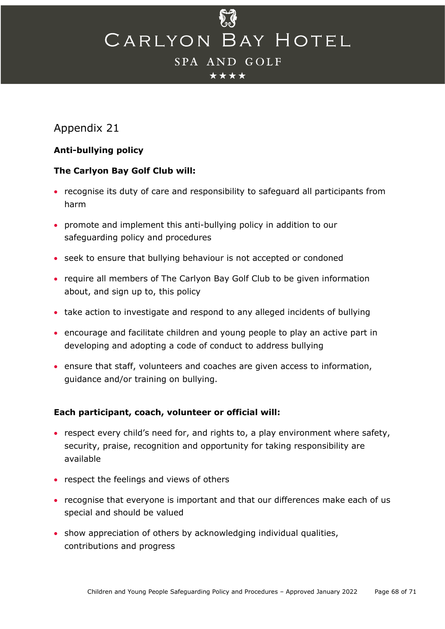#### \*\*\*\*

## <span id="page-67-0"></span>Appendix 21

## **Anti-bullying policy**

## **The Carlyon Bay Golf Club will:**

- recognise its duty of care and responsibility to safeguard all participants from harm
- promote and implement this anti-bullying policy in addition to our safeguarding policy and procedures
- seek to ensure that bullying behaviour is not accepted or condoned
- require all members of The Carlyon Bay Golf Club to be given information about, and sign up to, this policy
- take action to investigate and respond to any alleged incidents of bullying
- encourage and facilitate children and young people to play an active part in developing and adopting a code of conduct to address bullying
- ensure that staff, volunteers and coaches are given access to information, guidance and/or training on bullying.

## **Each participant, coach, volunteer or official will:**

- respect every child's need for, and rights to, a play environment where safety, security, praise, recognition and opportunity for taking responsibility are available
- respect the feelings and views of others
- recognise that everyone is important and that our differences make each of us special and should be valued
- show appreciation of others by acknowledging individual qualities, contributions and progress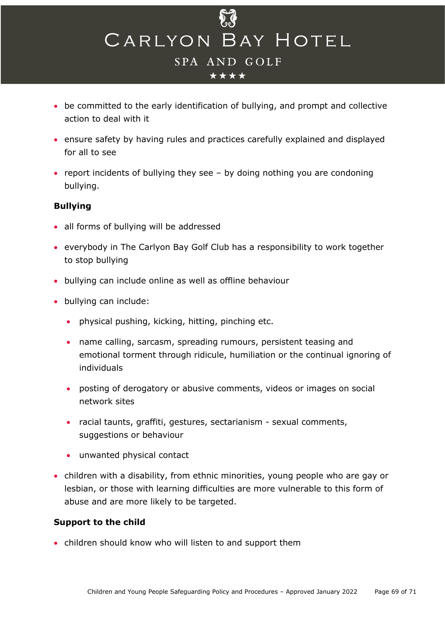

- be committed to the early identification of bullying, and prompt and collective action to deal with it
- ensure safety by having rules and practices carefully explained and displayed for all to see
- report incidents of bullying they see by doing nothing you are condoning bullying.

#### **Bullying**

- all forms of bullying will be addressed
- everybody in The Carlyon Bay Golf Club has a responsibility to work together to stop bullying
- bullying can include online as well as offline behaviour
- bullying can include:
	- physical pushing, kicking, hitting, pinching etc.
	- name calling, sarcasm, spreading rumours, persistent teasing and emotional torment through ridicule, humiliation or the continual ignoring of individuals
	- posting of derogatory or abusive comments, videos or images on social network sites
	- racial taunts, graffiti, gestures, sectarianism sexual comments, suggestions or behaviour
	- unwanted physical contact
- children with a disability, from ethnic minorities, young people who are gay or lesbian, or those with learning difficulties are more vulnerable to this form of abuse and are more likely to be targeted.

## **Support to the child**

• children should know who will listen to and support them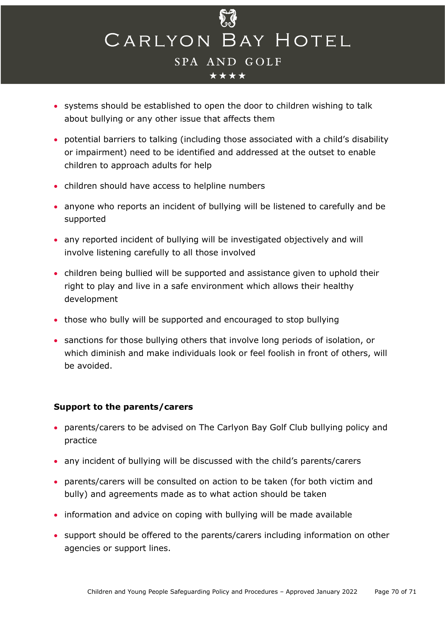

- systems should be established to open the door to children wishing to talk about bullying or any other issue that affects them
- potential barriers to talking (including those associated with a child's disability or impairment) need to be identified and addressed at the outset to enable children to approach adults for help
- children should have access to helpline numbers
- anyone who reports an incident of bullying will be listened to carefully and be supported
- any reported incident of bullying will be investigated objectively and will involve listening carefully to all those involved
- children being bullied will be supported and assistance given to uphold their right to play and live in a safe environment which allows their healthy development
- those who bully will be supported and encouraged to stop bullying
- sanctions for those bullying others that involve long periods of isolation, or which diminish and make individuals look or feel foolish in front of others, will be avoided.

## **Support to the parents/carers**

- parents/carers to be advised on The Carlyon Bay Golf Club bullying policy and practice
- any incident of bullying will be discussed with the child's parents/carers
- parents/carers will be consulted on action to be taken (for both victim and bully) and agreements made as to what action should be taken
- information and advice on coping with bullying will be made available
- support should be offered to the parents/carers including information on other agencies or support lines.